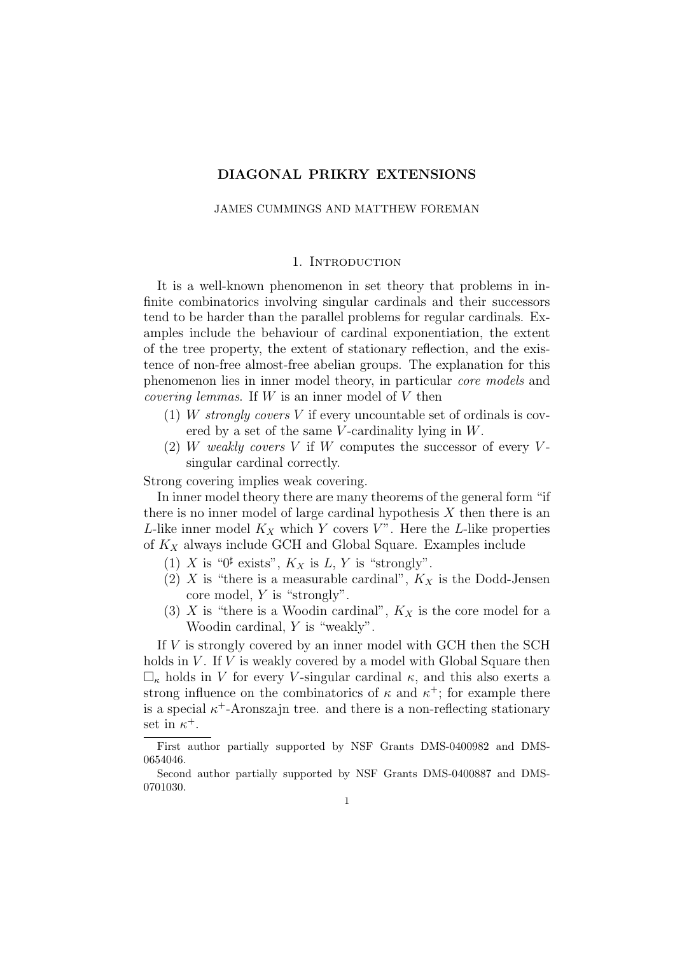## DIAGONAL PRIKRY EXTENSIONS

#### JAMES CUMMINGS AND MATTHEW FOREMAN

#### 1. INTRODUCTION

It is a well-known phenomenon in set theory that problems in infinite combinatorics involving singular cardinals and their successors tend to be harder than the parallel problems for regular cardinals. Examples include the behaviour of cardinal exponentiation, the extent of the tree property, the extent of stationary reflection, and the existence of non-free almost-free abelian groups. The explanation for this phenomenon lies in inner model theory, in particular core models and *covering lemmas.* If  $W$  is an inner model of  $V$  then

- (1) W strongly covers V if every uncountable set of ordinals is covered by a set of the same V-cardinality lying in  $W$ .
- (2) W weakly covers V if W computes the successor of every Vsingular cardinal correctly.

Strong covering implies weak covering.

In inner model theory there are many theorems of the general form "if there is no inner model of large cardinal hypothesis  $X$  then there is an L-like inner model  $K_X$  which Y covers V". Here the L-like properties of  $K_X$  always include GCH and Global Square. Examples include

- (1) X is " $0^{\sharp}$  exists",  $K_X$  is L, Y is "strongly".
- (2) X is "there is a measurable cardinal",  $K_X$  is the Dodd-Jensen core model, Y is "strongly".
- (3) X is "there is a Woodin cardinal",  $K_X$  is the core model for a Woodin cardinal, Y is "weakly".

If V is strongly covered by an inner model with GCH then the SCH holds in  $V$ . If  $V$  is weakly covered by a model with Global Square then  $\Box_{\kappa}$  holds in V for every V-singular cardinal  $\kappa$ , and this also exerts a strong influence on the combinatorics of  $\kappa$  and  $\kappa^+$ ; for example there is a special  $\kappa^+$ -Aronszajn tree. and there is a non-reflecting stationary set in  $\kappa^+$ .

First author partially supported by NSF Grants DMS-0400982 and DMS-0654046.

Second author partially supported by NSF Grants DMS-0400887 and DMS-0701030.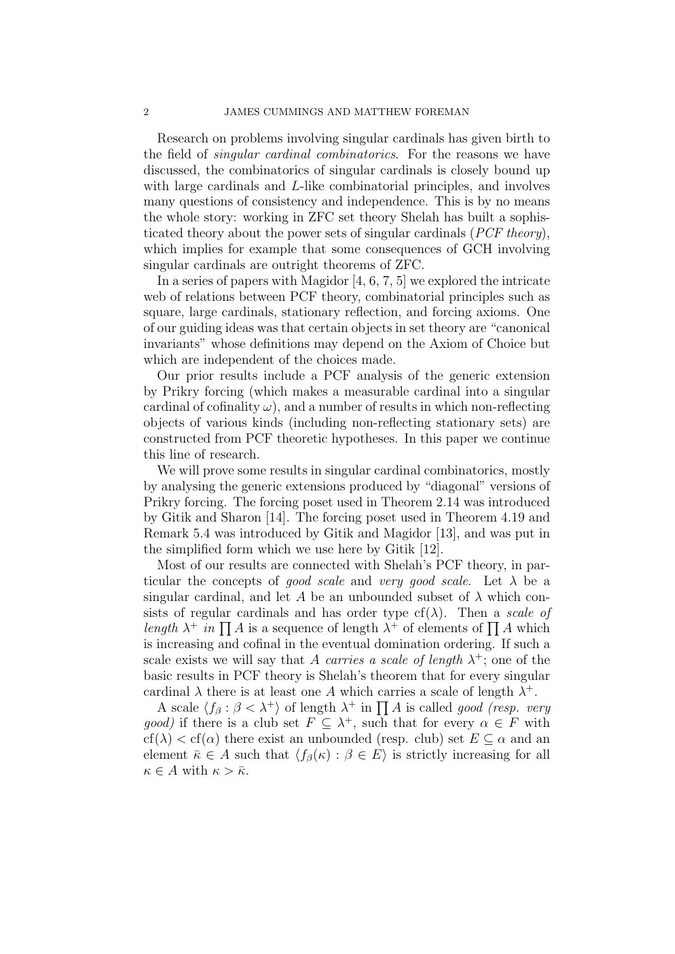Research on problems involving singular cardinals has given birth to the field of *singular cardinal combinatorics*. For the reasons we have discussed, the combinatorics of singular cardinals is closely bound up with large cardinals and L-like combinatorial principles, and involves many questions of consistency and independence. This is by no means the whole story: working in ZFC set theory Shelah has built a sophisticated theory about the power sets of singular cardinals (*PCF theory*), which implies for example that some consequences of GCH involving singular cardinals are outright theorems of ZFC.

In a series of papers with Magidor [4, 6, 7, 5] we explored the intricate web of relations between PCF theory, combinatorial principles such as square, large cardinals, stationary reflection, and forcing axioms. One of our guiding ideas was that certain objects in set theory are "canonical invariants" whose definitions may depend on the Axiom of Choice but which are independent of the choices made.

Our prior results include a PCF analysis of the generic extension by Prikry forcing (which makes a measurable cardinal into a singular cardinal of cofinality  $\omega$ ), and a number of results in which non-reflecting objects of various kinds (including non-reflecting stationary sets) are constructed from PCF theoretic hypotheses. In this paper we continue this line of research.

We will prove some results in singular cardinal combinatorics, mostly by analysing the generic extensions produced by "diagonal" versions of Prikry forcing. The forcing poset used in Theorem 2.14 was introduced by Gitik and Sharon [14]. The forcing poset used in Theorem 4.19 and Remark 5.4 was introduced by Gitik and Magidor [13], and was put in the simplified form which we use here by Gitik [12].

Most of our results are connected with Shelah's PCF theory, in particular the concepts of good scale and very good scale. Let  $\lambda$  be a singular cardinal, and let A be an unbounded subset of  $\lambda$  which consists of regular cardinals and has order type  $cf(\lambda)$ . Then a scale of length  $\lambda^+$  in  $\prod A$  is a sequence of length  $\lambda^+$  of elements of  $\prod A$  which is increasing and cofinal in the eventual domination ordering. If such a scale exists we will say that A carries a scale of length  $\lambda^+$ ; one of the basic results in PCF theory is Shelah's theorem that for every singular cardinal  $\lambda$  there is at least one A which carries a scale of length  $\lambda^+$ .

A scale  $\langle f_\beta : \beta < \lambda^+ \rangle$  of length  $\lambda^+$  in  $\prod A$  is called good (resp. very good) if there is a club set  $F \subseteq \lambda^+$ , such that for every  $\alpha \in F$  with  $cf(\lambda) < cf(\alpha)$  there exist an unbounded (resp. club) set  $E \subseteq \alpha$  and an element  $\bar{\kappa} \in A$  such that  $\langle f_{\beta}(\kappa) : \beta \in E \rangle$  is strictly increasing for all  $\kappa \in A$  with  $\kappa > \bar{\kappa}$ .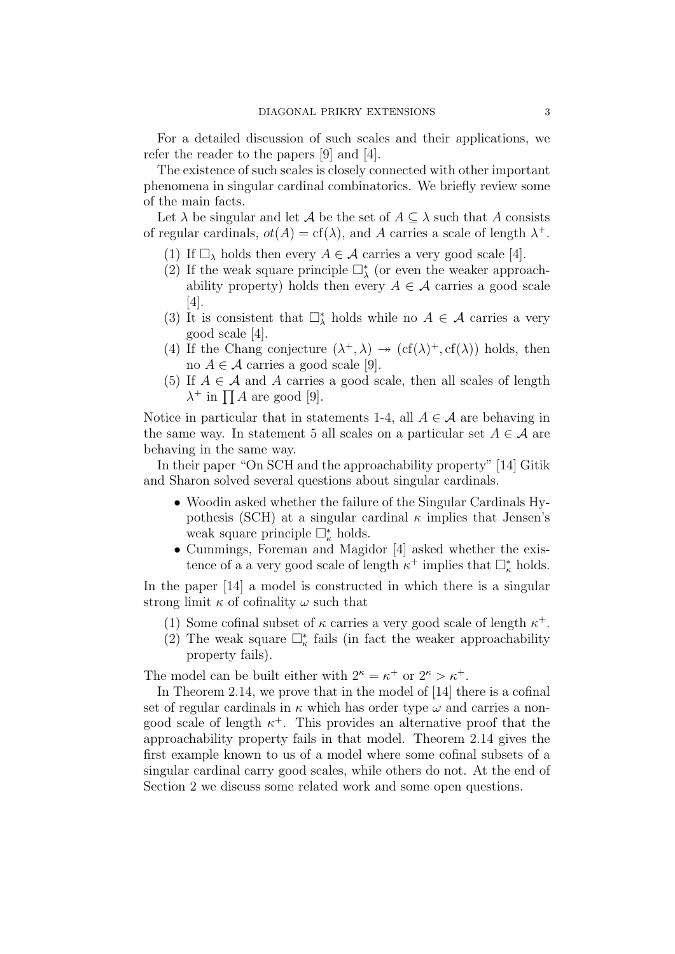For a detailed discussion of such scales and their applications, we refer the reader to the papers [9] and [4].

The existence of such scales is closely connected with other important phenomena in singular cardinal combinatorics. We briefly review some of the main facts.

Let  $\lambda$  be singular and let  $\mathcal A$  be the set of  $A \subseteq \lambda$  such that A consists of regular cardinals,  $ot(A) = cf(\lambda)$ , and A carries a scale of length  $\lambda^+$ .

- (1) If  $\Box_{\lambda}$  holds then every  $A \in \mathcal{A}$  carries a very good scale [4].
- (2) If the weak square principle  $\Box_{\lambda}^*$  (or even the weaker approachability property) holds then every  $A \in \mathcal{A}$  carries a good scale [4].
- (3) It is consistent that  $\square^*_{\lambda}$  holds while no  $A \in \mathcal{A}$  carries a very good scale [4].
- (4) If the Chang conjecture  $(\lambda^+, \lambda) \rightarrow (cf(\lambda)^+, cf(\lambda))$  holds, then no  $A \in \mathcal{A}$  carries a good scale [9].
- (5) If  $A \in \mathcal{A}$  and A carries a good scale, then all scales of length  $\lambda^+$  in  $\prod A$  are good [9].

Notice in particular that in statements 1-4, all  $A \in \mathcal{A}$  are behaving in the same way. In statement 5 all scales on a particular set  $A \in \mathcal{A}$  are behaving in the same way.

In their paper "On SCH and the approachability property" [14] Gitik and Sharon solved several questions about singular cardinals.

- Woodin asked whether the failure of the Singular Cardinals Hypothesis (SCH) at a singular cardinal  $\kappa$  implies that Jensen's weak square principle  $\Box_{\kappa}^*$  holds.
- Cummings, Foreman and Magidor [4] asked whether the existence of a a very good scale of length  $\kappa^+$  implies that  $\Box^*_{\kappa}$  holds.

In the paper [14] a model is constructed in which there is a singular strong limit  $\kappa$  of cofinality  $\omega$  such that

- (1) Some cofinal subset of  $\kappa$  carries a very good scale of length  $\kappa^+$ .
- (2) The weak square  $\Box^*_{\kappa}$  fails (in fact the weaker approachability property fails).

The model can be built either with  $2^{\kappa} = \kappa^+$  or  $2^{\kappa} > \kappa^+$ .

In Theorem 2.14, we prove that in the model of [14] there is a cofinal set of regular cardinals in  $\kappa$  which has order type  $\omega$  and carries a nongood scale of length  $\kappa^+$ . This provides an alternative proof that the approachability property fails in that model. Theorem 2.14 gives the first example known to us of a model where some cofinal subsets of a singular cardinal carry good scales, while others do not. At the end of Section 2 we discuss some related work and some open questions.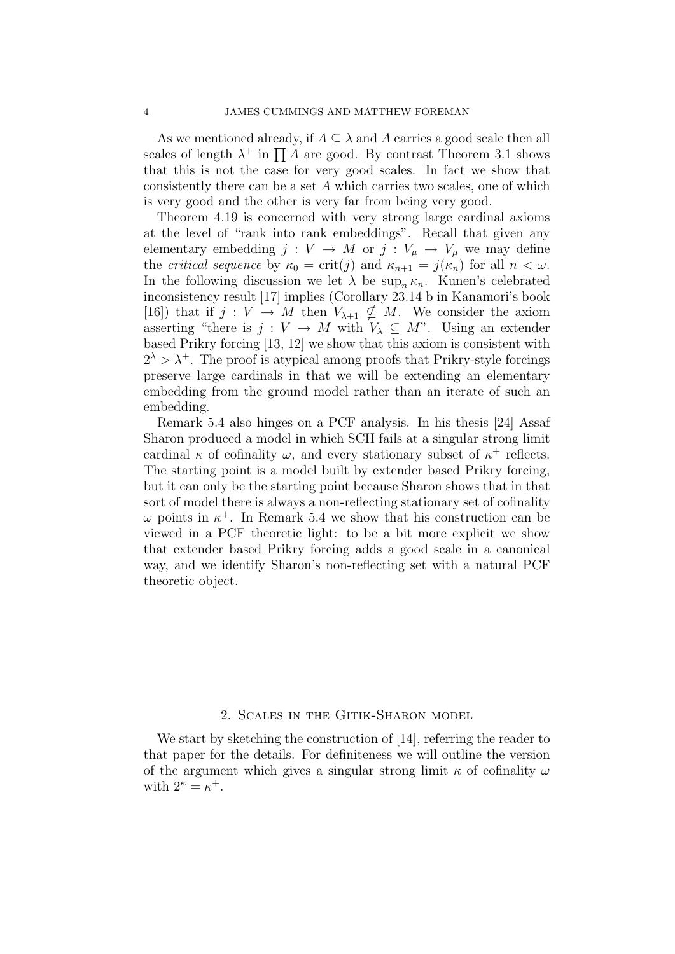As we mentioned already, if  $A \subseteq \lambda$  and A carries a good scale then all scales of length  $\lambda^+$  in  $\prod A$  are good. By contrast Theorem 3.1 shows that this is not the case for very good scales. In fact we show that consistently there can be a set A which carries two scales, one of which is very good and the other is very far from being very good.

Theorem 4.19 is concerned with very strong large cardinal axioms at the level of "rank into rank embeddings". Recall that given any elementary embedding  $j : V \to M$  or  $j : V_{\mu} \to V_{\mu}$  we may define the *critical sequence* by  $\kappa_0 = \text{crit}(j)$  and  $\kappa_{n+1} = j(\kappa_n)$  for all  $n < \omega$ . In the following discussion we let  $\lambda$  be sup<sub>n</sub>  $\kappa_n$ . Kunen's celebrated inconsistency result [17] implies (Corollary 23.14 b in Kanamori's book [16]) that if  $j: V \to M$  then  $V_{\lambda+1} \nsubseteq M$ . We consider the axiom asserting "there is  $j: V \to M$  with  $V_{\lambda} \subseteq M$ ". Using an extender based Prikry forcing [13, 12] we show that this axiom is consistent with  $2^{\lambda} > \lambda^{+}$ . The proof is atypical among proofs that Prikry-style forcings preserve large cardinals in that we will be extending an elementary embedding from the ground model rather than an iterate of such an embedding.

Remark 5.4 also hinges on a PCF analysis. In his thesis [24] Assaf Sharon produced a model in which SCH fails at a singular strong limit cardinal  $\kappa$  of cofinality  $\omega$ , and every stationary subset of  $\kappa^+$  reflects. The starting point is a model built by extender based Prikry forcing, but it can only be the starting point because Sharon shows that in that sort of model there is always a non-reflecting stationary set of cofinality  $\omega$  points in  $\kappa^+$ . In Remark 5.4 we show that his construction can be viewed in a PCF theoretic light: to be a bit more explicit we show that extender based Prikry forcing adds a good scale in a canonical way, and we identify Sharon's non-reflecting set with a natural PCF theoretic object.

## 2. Scales in the Gitik-Sharon model

We start by sketching the construction of [14], referring the reader to that paper for the details. For definiteness we will outline the version of the argument which gives a singular strong limit  $\kappa$  of cofinality  $\omega$ with  $2^{\kappa} = \kappa^+$ .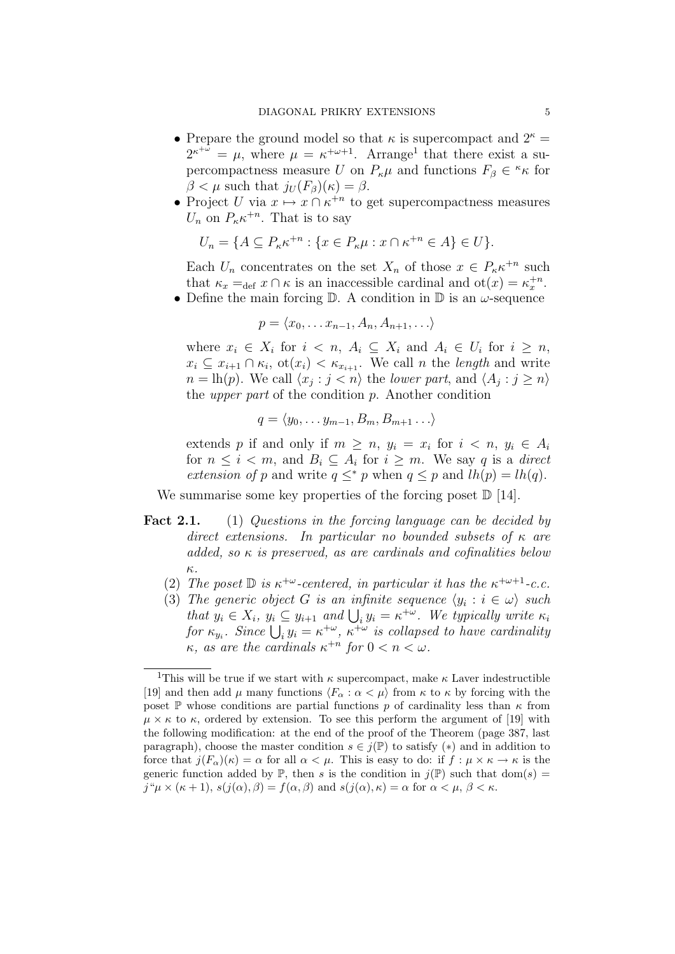- Prepare the ground model so that  $\kappa$  is supercompact and  $2^{\kappa} =$  $2^{\kappa^{+\omega}} = \mu$ , where  $\mu = \kappa^{+\omega+1}$ . Arrange<sup>1</sup> that there exist a supercompactness measure U on  $P_{\kappa}\mu$  and functions  $F_{\beta} \in K_{\kappa}$  for  $\beta < \mu$  such that  $j_U(F_\beta)(\kappa) = \beta$ .
- Project U via  $x \mapsto x \cap \kappa^{+n}$  to get supercompactness measures  $U_n$  on  $P_{\kappa} \kappa^{+n}$ . That is to say

$$
U_n = \{ A \subseteq P_{\kappa} \kappa^{+n} : \{ x \in P_{\kappa} \mu : x \cap \kappa^{+n} \in A \} \in U \}.
$$

Each  $U_n$  concentrates on the set  $X_n$  of those  $x \in P_{\kappa} \kappa^{+n}$  such that  $\kappa_x =_{def} x \cap \kappa$  is an inaccessible cardinal and  $ot(x) = \kappa_x^{+n}$ .

• Define the main forcing  $\mathbb D$ . A condition in  $\mathbb D$  is an  $\omega$ -sequence

$$
p = \langle x_0, \dots x_{n-1}, A_n, A_{n+1}, \dots \rangle
$$

where  $x_i \in X_i$  for  $i \leq n$ ,  $A_i \subseteq X_i$  and  $A_i \in U_i$  for  $i \geq n$ ,  $x_i \subseteq x_{i+1} \cap \kappa_i$ ,  $\text{ot}(x_i) < \kappa_{x_{i+1}}$ . We call *n* the *length* and write  $n = \text{lh}(p)$ . We call  $\langle x_j : j \rangle n$  the lower part, and  $\langle A_j : j \rangle n$ the *upper part* of the condition  $p$ . Another condition

$$
q = \langle y_0, \ldots y_{m-1}, B_m, B_{m+1} \ldots \rangle
$$

extends p if and only if  $m \geq n$ ,  $y_i = x_i$  for  $i \leq n$ ,  $y_i \in A_i$ for  $n \leq i < m$ , and  $B_i \subseteq A_i$  for  $i \geq m$ . We say q is a direct extension of p and write  $q \leq^* p$  when  $q \leq p$  and  $lh(p) = lh(q)$ .

We summarise some key properties of the forcing poset  $\mathbb{D}$  [14].

- Fact 2.1. (1) Questions in the forcing language can be decided by direct extensions. In particular no bounded subsets of  $\kappa$  are added, so  $\kappa$  is preserved, as are cardinals and cofinalities below κ.
	- (2) The poset  $\mathbb D$  is  $\kappa^{+\omega}$ -centered, in particular it has the  $\kappa^{+\omega+1}$ -c.c.
	- (3) The generic object G is an infinite sequence  $\langle y_i : i \in \omega \rangle$  such that  $y_i \in X_i$ ,  $y_i \subseteq y_{i+1}$  and  $\bigcup_i y_i = \kappa^{+\omega}$ . We typically write  $\kappa_i$ for  $\kappa_{y_i}$ . Since  $\bigcup_i y_i = \kappa^{+\omega}$ ,  $\kappa^{+\omega}$  is collapsed to have cardinality  $\kappa$ , as are the cardinals  $\kappa^{+n}$  for  $0 < n < \omega$ .

<sup>&</sup>lt;sup>1</sup>This will be true if we start with  $\kappa$  supercompact, make  $\kappa$  Laver indestructible [19] and then add  $\mu$  many functions  $\langle F_\alpha : \alpha < \mu \rangle$  from  $\kappa$  to  $\kappa$  by forcing with the poset P whose conditions are partial functions p of cardinality less than  $\kappa$  from  $\mu \times \kappa$  to  $\kappa$ , ordered by extension. To see this perform the argument of [19] with the following modification: at the end of the proof of the Theorem (page 387, last paragraph), choose the master condition  $s \in j(\mathbb{P})$  to satisfy  $(*)$  and in addition to force that  $j(F_\alpha)(\kappa) = \alpha$  for all  $\alpha < \mu$ . This is easy to do: if  $f : \mu \times \kappa \to \kappa$  is the generic function added by  $\mathbb{P}$ , then s is the condition in  $j(\mathbb{P})$  such that dom(s) =  $j^{\mu} \mu \times (\kappa + 1), s(j(\alpha), \beta) = f(\alpha, \beta)$  and  $s(j(\alpha), \kappa) = \alpha$  for  $\alpha < \mu, \beta < \kappa$ .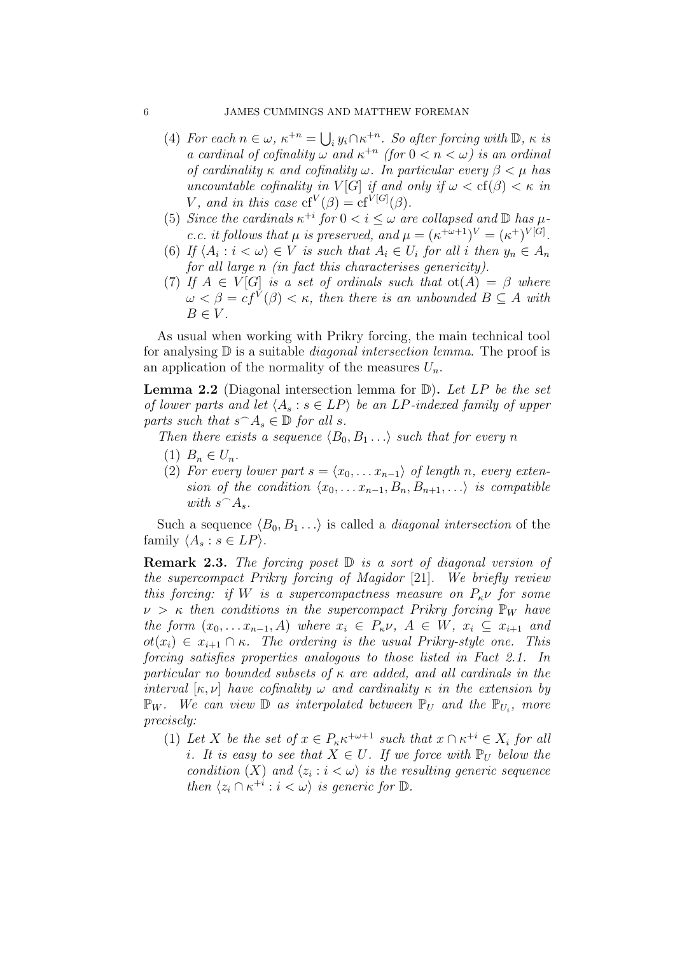- (4) For each  $n \in \omega$ ,  $\kappa^{+n} = \bigcup_i y_i \cap \kappa^{+n}$ . So after forcing with  $\mathbb{D}$ ,  $\kappa$  is a cardinal of cofinality  $\omega$  and  $\kappa^{+n}$  (for  $0 < n < \omega$ ) is an ordinal of cardinality κ and cofinality  $\omega$ . In particular every  $\beta < \mu$  has uncountable cofinality in  $V[G]$  if and only if  $\omega < \text{cf}(\beta) < \kappa$  in V, and in this case  $cf^V(\beta) = cf^{V[G]}(\beta)$ .
- (5) Since the cardinals  $\kappa^{+i}$  for  $0 < i \leq \omega$  are collapsed and  $\mathbb D$  has  $\mu$ c.c. it follows that  $\mu$  is preserved, and  $\mu = (\kappa^{+\omega+1})^V = (\kappa^+)^{V[G]}$ .
- (6) If  $\langle A_i : i \langle \omega \rangle \in V$  is such that  $A_i \in U_i$  for all i then  $y_n \in A_n$ for all large n (in fact this characterises genericity).
- (7) If  $A \in V[G]$  is a set of ordinals such that  $ot(A) = \beta$  where  $\omega < \beta = cf^V(\beta) < \kappa$ , then there is an unbounded  $B \subseteq A$  with  $B \in V$ .

As usual when working with Prikry forcing, the main technical tool for analysing  $\mathbb D$  is a suitable *diagonal intersection lemma*. The proof is an application of the normality of the measures  $U_n$ .

**Lemma 2.2** (Diagonal intersection lemma for  $D$ ). Let LP be the set of lower parts and let  $\langle A_s : s \in LP \rangle$  be an LP-indexed family of upper parts such that  $s \cap A_s \in \mathbb{D}$  for all s.

Then there exists a sequence  $\langle B_0, B_1 \ldots \rangle$  such that for every n

- (1)  $B_n \in U_n$ .
- (2) For every lower part  $s = \langle x_0, \ldots x_{n-1} \rangle$  of length n, every extension of the condition  $\langle x_0, \ldots x_{n-1}, B_n, B_{n+1}, \ldots \rangle$  is compatible with  $s^\frown A_s$ .

Such a sequence  $\langle B_0, B_1 \ldots \rangle$  is called a *diagonal intersection* of the family  $\langle A_s : s \in LP \rangle$ .

**Remark 2.3.** The forcing poset  $\mathbb{D}$  is a sort of diagonal version of the supercompact Prikry forcing of Magidor [21]. We briefly review this forcing: if W is a supercompactness measure on  $P_{\kappa} \nu$  for some  $\nu > \kappa$  then conditions in the supercompact Prikry forcing  $\mathbb{P}_W$  have the form  $(x_0, \ldots x_{n-1}, A)$  where  $x_i \in P_{\kappa} \nu$ ,  $A \in W$ ,  $x_i \subseteq x_{i+1}$  and  $ot(x_i) \in x_{i+1} \cap \kappa$ . The ordering is the usual Prikry-style one. This forcing satisfies properties analogous to those listed in Fact 2.1. In particular no bounded subsets of  $\kappa$  are added, and all cardinals in the interval  $[\kappa, \nu]$  have cofinality  $\omega$  and cardinality  $\kappa$  in the extension by  $\mathbb{P}_W$ . We can view  $\mathbb{D}$  as interpolated between  $\mathbb{P}_U$  and the  $\mathbb{P}_{U_i}$ , more precisely:

(1) Let X be the set of  $x \in P_{\kappa} \kappa^{+\omega+1}$  such that  $x \cap \kappa^{+i} \in X_i$  for all i. It is easy to see that  $X \in U$ . If we force with  $\mathbb{P}_U$  below the condition (X) and  $\langle z_i : i < \omega \rangle$  is the resulting generic sequence then  $\langle z_i \cap \kappa^{+i} : i \langle \omega \rangle$  is generic for  $\mathbb{D}$ .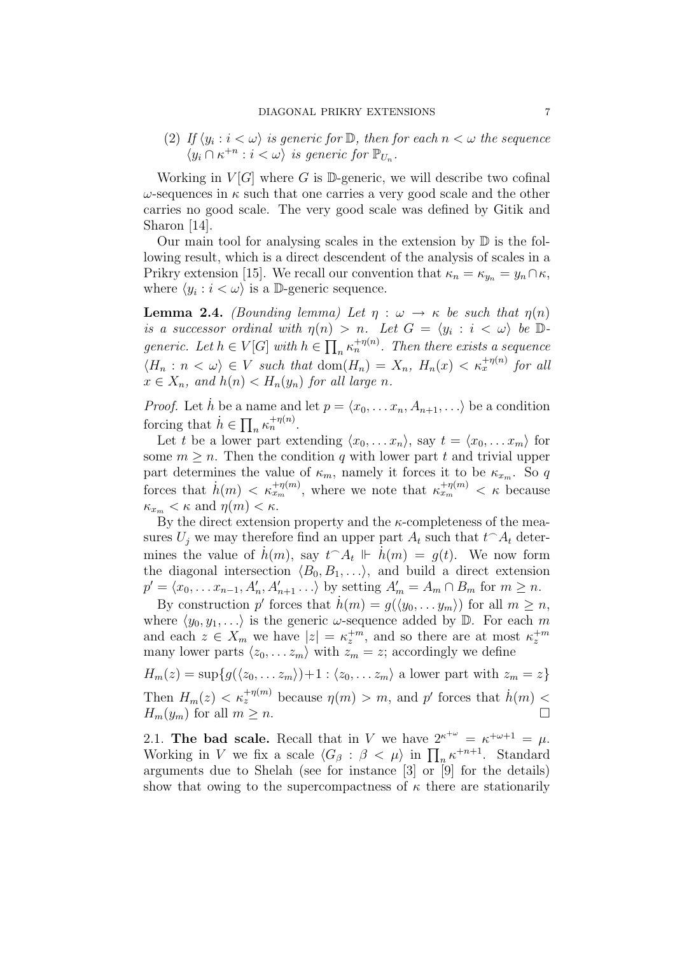(2) If  $\langle y_i : i \langle \omega \rangle$  is generic for  $\mathbb{D}$ , then for each  $n \langle \omega \rangle$  the sequence  $\langle y_i \cap \kappa^{+n} : i < \omega \rangle$  is generic for  $\mathbb{P}_{U_n}$ .

Working in  $V[G]$  where G is D-generic, we will describe two cofinal  $\omega$ -sequences in  $\kappa$  such that one carries a very good scale and the other carries no good scale. The very good scale was defined by Gitik and Sharon [14].

Our main tool for analysing scales in the extension by  $\mathbb D$  is the following result, which is a direct descendent of the analysis of scales in a Prikry extension [15]. We recall our convention that  $\kappa_n = \kappa_{y_n} = y_n \cap \kappa$ , where  $\langle y_i : i \langle \omega \rangle$  is a D-generic sequence.

**Lemma 2.4.** (Bounding lemma) Let  $\eta : \omega \to \kappa$  be such that  $\eta(n)$ is a successor ordinal with  $\eta(n) > n$ . Let  $G = \langle y_i : i \langle \omega \rangle$  be  $D$ generic. Let  $h \in V[G]$  with  $h \in \prod_n \kappa_n^{+\eta(n)}$ . Then there exists a sequence  $\langle H_n : n \langle \omega \rangle \in V$  such that  $\text{dom}(H_n) = X_n$ ,  $H_n(x) \langle \kappa_x^{+\eta(n)} \rangle$  for all  $x \in X_n$ , and  $h(n) < H_n(y_n)$  for all large n.

*Proof.* Let h be a name and let  $p = \langle x_0, \ldots, x_n, A_{n+1}, \ldots \rangle$  be a condition forcing that  $\dot{h} \in \prod_n \kappa_n^{+\eta(n)}$ .

Let t be a lower part extending  $\langle x_0, \ldots x_n \rangle$ , say  $t = \langle x_0, \ldots x_m \rangle$  for some  $m \geq n$ . Then the condition q with lower part t and trivial upper part determines the value of  $\kappa_m$ , namely it forces it to be  $\kappa_{x_m}$ . So q forces that  $\dot{h}(m) < \kappa_{x_m}^{+\eta(m)}$ , where we note that  $\kappa_{x_m}^{+\eta(m)} < \kappa$  because  $\kappa_{x_m} < \kappa$  and  $\eta(m) < \kappa$ .

By the direct extension property and the  $\kappa$ -completeness of the measures  $U_j$  we may therefore find an upper part  $A_t$  such that  $t \cap A_t$  determines the value of  $\dot{h}(m)$ , say  $t \hat{} A_t \Vdash \dot{h}(m) = g(t)$ . We now form the diagonal intersection  $\langle B_0, B_1, \ldots \rangle$ , and build a direct extension  $p' = \langle x_0, \dots x_{n-1}, A'_n, A'_{n+1}, \dots \rangle$  by setting  $A'_m = A_m \cap B_m$  for  $m \ge n$ .

By construction p' forces that  $\dot{h}(m) = g(\langle y_0, \ldots y_m \rangle)$  for all  $m \geq n$ , where  $\langle y_0, y_1, \ldots \rangle$  is the generic  $\omega$ -sequence added by D. For each m and each  $z \in X_m$  we have  $|z| = \kappa_z^{+m}$ , and so there are at most  $\kappa_z^{+m}$ many lower parts  $\langle z_0, \ldots z_m \rangle$  with  $z_m = z$ ; accordingly we define

 $H_m(z) = \sup\{g(\langle z_0, \ldots z_m\rangle)+1 : \langle z_0, \ldots z_m\rangle \text{ a lower part with } z_m = z\}$ Then  $H_m(z) < \kappa_z^{+\eta(m)}$  because  $\eta(m) > m$ , and p' forces that  $\dot{h}(m) <$  $H_m(y_m)$  for all  $m \geq n$ .

2.1. The bad scale. Recall that in V we have  $2^{\kappa^{+\omega}} = \kappa^{+\omega+1} = \mu$ . Working in V we fix a scale  $\langle G_\beta : \beta < \mu \rangle$  in  $\prod_n \kappa^{+n+1}$ . Standard arguments due to Shelah (see for instance [3] or [9] for the details) show that owing to the supercompactness of  $\kappa$  there are stationarily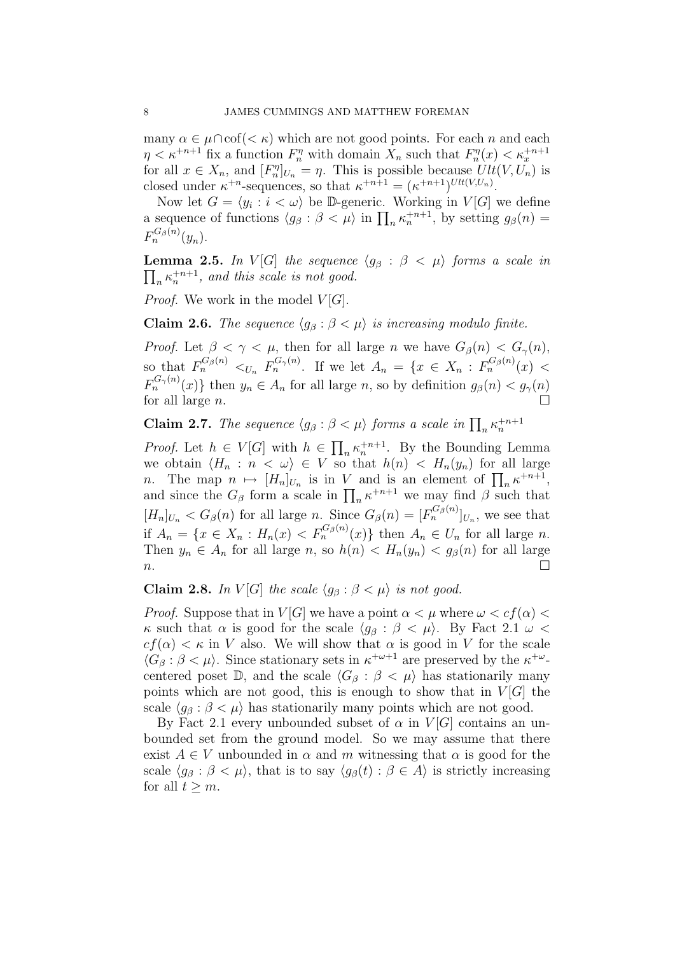many  $\alpha \in \mu \cap \text{cof}(<\kappa)$  which are not good points. For each n and each  $\eta < \kappa^{+n+1}$  fix a function  $F_n^{\eta}$  with domain  $X_n$  such that  $F_n^{\eta}(x) < \kappa_x^{+n+1}$ for all  $x \in X_n$ , and  $[F_n^{\eta}]_{U_n} = \eta$ . This is possible because  $Ult(V, U_n)$  is closed under  $\kappa^{+n}$ -sequences, so that  $\kappa^{+n+1} = (\kappa^{+n+1})^{Ult(V,U_n)}$ .

Now let  $G = \langle y_i : i \langle \omega \rangle$  be D-generic. Working in  $V[G]$  we define a sequence of functions  $\langle g_\beta : \beta < \mu \rangle$  in  $\prod_n \kappa_n^{n+1}$ , by setting  $g_\beta(n) =$  $F_n^{G_\beta(n)}(y_n)$ .

 $\prod_n \kappa_n^{+n+1}$ , and this scale is not good. **Lemma 2.5.** In V[G] the sequence  $\langle g_{\beta} : \beta \langle \mu \rangle$  forms a scale in

*Proof.* We work in the model  $V[G]$ .

**Claim 2.6.** The sequence  $\langle g_{\beta} : \beta \langle \mu \rangle$  is increasing modulo finite.

*Proof.* Let  $\beta < \gamma < \mu$ , then for all large n we have  $G_{\beta}(n) < G_{\gamma}(n)$ , so that  $F_n^{G_\beta(n)} \lt_{U_n} F_n^{G_\gamma(n)}$ . If we let  $A_n = \{x \in X_n : F_n^{G_\beta(n)}(x) \lt \}$  $F_n^{G_\gamma(n)}(x)$ } then  $y_n \in A_n$  for all large n, so by definition  $g_\beta(n) < g_\gamma(n)$ for all large n.

**Claim 2.7.** The sequence  $\langle g_{\beta} : \beta \langle \mu \rangle$  forms a scale in  $\prod_{n} \kappa_n^{n+1}$ 

*Proof.* Let  $h \in V[G]$  with  $h \in \prod_n \kappa_n^{n+1}$ . By the Bounding Lemma we obtain  $\langle H_n : n \langle \omega \rangle \in V$  so that  $h(n) \langle H_n(y_n) \rangle$  for all large *n*. The map  $n \mapsto [H_n]_{U_n}$  is in V and is an element of  $\prod_n \kappa^{+n+1}$ , and since the  $G_\beta$  form a scale in  $\prod_n \kappa^{+n+1}$  we may find  $\beta$  such that  $[H_n]_{U_n} < G_{\beta}(n)$  for all large n. Since  $G_{\beta}(n) = [F_n^{G_{\beta}(n)}]_{U_n}$ , we see that if  $A_n = \{x \in X_n : H_n(x) < F_n^{G_\beta(n)}(x)\}\$  then  $A_n \in U_n$  for all large n. Then  $y_n \in A_n$  for all large n, so  $h(n) < H_n(y_n) < g_\beta(n)$  for all large  $n.$ 

# Claim 2.8. In  $V[G]$  the scale  $\langle g_{\beta} : \beta < \mu \rangle$  is not good.

*Proof.* Suppose that in  $V[G]$  we have a point  $\alpha < \mu$  where  $\omega < cf(\alpha)$ κ such that  $\alpha$  is good for the scale  $\langle g_\beta : \beta < \mu \rangle$ . By Fact 2.1  $\omega$  <  $cf(\alpha) < \kappa$  in V also. We will show that  $\alpha$  is good in V for the scale  $\langle G_\beta : \beta < \mu \rangle$ . Since stationary sets in  $\kappa^{+\omega+1}$  are preserved by the  $\kappa^{+\omega}$ centered poset D, and the scale  $\langle G_\beta : \beta < \mu \rangle$  has stationarily many points which are not good, this is enough to show that in  $V[G]$  the scale  $\langle q_\beta : \beta < \mu \rangle$  has stationarily many points which are not good.

By Fact 2.1 every unbounded subset of  $\alpha$  in  $V[G]$  contains an unbounded set from the ground model. So we may assume that there exist  $A \in V$  unbounded in  $\alpha$  and m witnessing that  $\alpha$  is good for the scale  $\langle g_{\beta} : \beta < \mu \rangle$ , that is to say  $\langle g_{\beta}(t) : \beta \in A \rangle$  is strictly increasing for all  $t > m$ .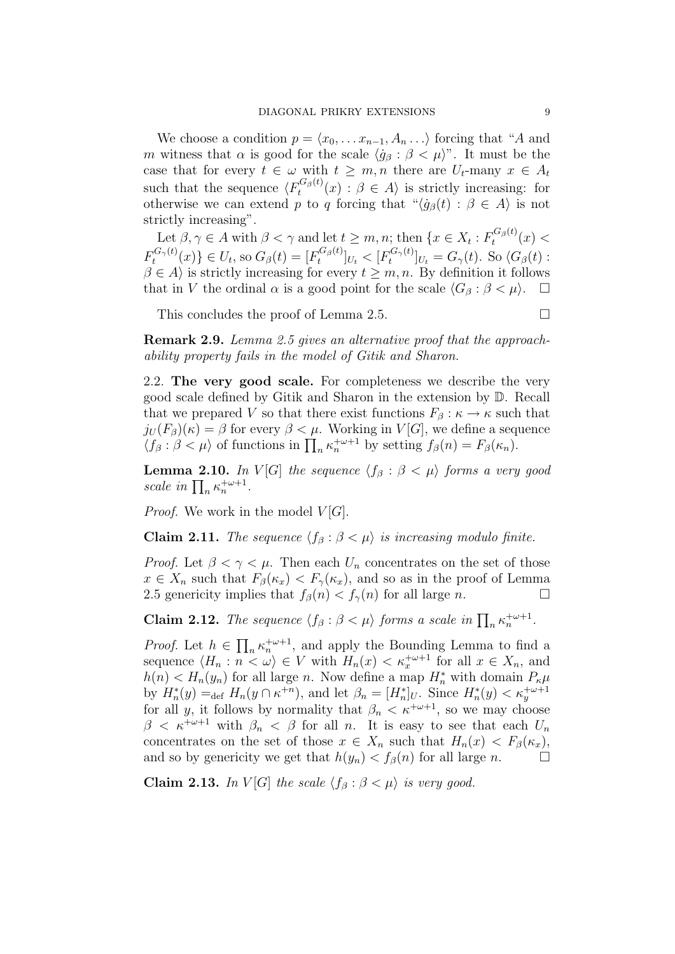We choose a condition  $p = \langle x_0, \ldots x_{n-1}, A_n \ldots \rangle$  forcing that "A and m witness that  $\alpha$  is good for the scale  $\langle \dot{g}_{\beta} : \beta < \mu \rangle$ ". It must be the case that for every  $t \in \omega$  with  $t \geq m, n$  there are  $U_t$ -many  $x \in A_t$ such that the sequence  $\langle F_t^{G_\beta(t)} \rangle$  $t_t^{\alpha_{\beta}(t)}(x) : \beta \in A$  is strictly increasing: for otherwise we can extend p to q forcing that " $\langle \dot{g}_{\beta}(t) : \beta \in A \rangle$  is not strictly increasing".

Let  $\beta, \gamma \in A$  with  $\beta < \gamma$  and let  $t \geq m, n$ ; then  $\{x \in X_t : F_t^{G_\beta(t)}\}$  $t^{\mathbf{G}\beta^{(t)}}(x) <$  $F_t^{G_\gamma(t)}$  $\{G_{\gamma}(t)_{t}(x)\}\in U_{t},$  so  $G_{\beta}(t)=[F_{t}^{G_{\beta}(t)}]$  $[t_{t}^{G_{\beta}(t)}]_{U_{t}}< [F_{t}^{G_{\gamma}(t)}]$  $[\sigma_t^{\mathbf{G}_{\gamma}(t)}]_{U_t} = G_{\gamma}(t)$ . So  $\langle G_{\beta}(t)$  :  $\beta \in A$  is strictly increasing for every  $t \geq m, n$ . By definition it follows that in V the ordinal  $\alpha$  is a good point for the scale  $\langle G_\beta : \beta < \mu \rangle$ .  $\Box$ 

This concludes the proof of Lemma 2.5.

$$
\qquad \qquad \Box
$$

Remark 2.9. Lemma 2.5 gives an alternative proof that the approachability property fails in the model of Gitik and Sharon.

2.2. The very good scale. For completeness we describe the very good scale defined by Gitik and Sharon in the extension by D. Recall that we prepared V so that there exist functions  $F_\beta: \kappa \to \kappa$  such that  $j_U(F_\beta)(\kappa) = \beta$  for every  $\beta < \mu$ . Working in  $V[G]$ , we define a sequence  $\langle f_\beta : \beta < \mu \rangle$  of functions in  $\prod_n \kappa_n^{+\omega+1}$  by setting  $f_\beta(n) = F_\beta(\kappa_n)$ .

**Lemma 2.10.** In V[G] the sequence  $\langle f_\beta : \beta < \mu \rangle$  forms a very good scale in  $\prod_n \kappa_n^{+\omega+1}$ .

*Proof.* We work in the model  $V[G]$ .

**Claim 2.11.** The sequence  $\langle f_\beta : \beta < \mu \rangle$  is increasing modulo finite.

*Proof.* Let  $\beta < \gamma < \mu$ . Then each  $U_n$  concentrates on the set of those  $x \in X_n$  such that  $F_\beta(\kappa_x) < F_\gamma(\kappa_x)$ , and so as in the proof of Lemma 2.5 genericity implies that  $f_{\beta}(n) < f_{\gamma}(n)$  for all large n.

**Claim 2.12.** The sequence  $\langle f_\beta : \beta < \mu \rangle$  forms a scale in  $\prod_n \kappa_n^{+\omega+1}$ .

*Proof.* Let  $h \in \prod_n \kappa_n^{+\omega+1}$ , and apply the Bounding Lemma to find a sequence  $\langle H_n : n \leq \omega \rangle \in V$  with  $H_n(x) < \kappa_x^{+\omega+1}$  for all  $x \in X_n$ , and  $h(n) < H_n(y_n)$  for all large n. Now define a map  $H_n^*$  with domain  $P_{\kappa}\mu$ by  $H_n^*(y) =_{\text{def}} H_n(y \cap \kappa^{+n})$ , and let  $\beta_n = [H_n^*]_U$ . Since  $H_n^*(y) < \kappa_y^{+\omega+1}$ for all y, it follows by normality that  $\beta_n < \kappa^{+\omega+1}$ , so we may choose  $\beta < \kappa^{+\omega+1}$  with  $\beta_n < \beta$  for all n. It is easy to see that each  $U_n$ concentrates on the set of those  $x \in X_n$  such that  $H_n(x) < F_\beta(\kappa_x)$ , and so by genericity we get that  $h(y_n) < f_\beta(n)$  for all large n.

**Claim 2.13.** In  $V[G]$  the scale  $\langle f_\beta : \beta < \mu \rangle$  is very good.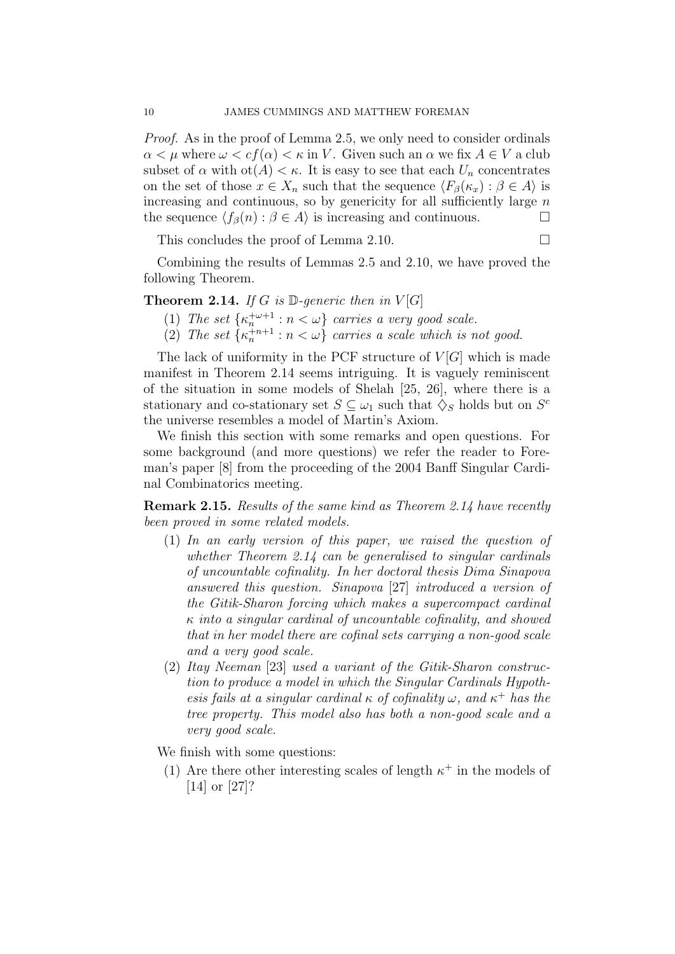Proof. As in the proof of Lemma 2.5, we only need to consider ordinals  $\alpha < \mu$  where  $\omega < cf(\alpha) < \kappa$  in V. Given such an  $\alpha$  we fix  $A \in V$  a club subset of  $\alpha$  with  $\mathrm{ot}(A) < \kappa$ . It is easy to see that each  $U_n$  concentrates on the set of those  $x \in X_n$  such that the sequence  $\langle F_\beta(\kappa_x) : \beta \in A \rangle$  is increasing and continuous, so by genericity for all sufficiently large  $n$ the sequence  $\langle f_\beta(n) : \beta \in A \rangle$  is increasing and continuous.

This concludes the proof of Lemma 2.10.

Combining the results of Lemmas 2.5 and 2.10, we have proved the following Theorem.

**Theorem 2.14.** If G is  $\mathbb{D}$ -generic then in  $V[G]$ 

- (1) The set  $\{\kappa_n^{+\omega+1} : n < \omega\}$  carries a very good scale.
- (2) The set  $\{\kappa_n^{+n+1} : n < \omega\}$  carries a scale which is not good.

The lack of uniformity in the PCF structure of  $V[G]$  which is made manifest in Theorem 2.14 seems intriguing. It is vaguely reminiscent of the situation in some models of Shelah [25, 26], where there is a stationary and co-stationary set  $S \subseteq \omega_1$  such that  $\diamondsuit_S$  holds but on  $S^c$ the universe resembles a model of Martin's Axiom.

We finish this section with some remarks and open questions. For some background (and more questions) we refer the reader to Foreman's paper [8] from the proceeding of the 2004 Banff Singular Cardinal Combinatorics meeting.

**Remark 2.15.** Results of the same kind as Theorem 2.14 have recently been proved in some related models.

- (1) In an early version of this paper, we raised the question of whether Theorem 2.14 can be generalised to singular cardinals of uncountable cofinality. In her doctoral thesis Dima Sinapova answered this question. Sinapova [27] introduced a version of the Gitik-Sharon forcing which makes a supercompact cardinal  $\kappa$  into a singular cardinal of uncountable cofinality, and showed that in her model there are cofinal sets carrying a non-good scale and a very good scale.
- (2) Itay Neeman [23] used a variant of the Gitik-Sharon construction to produce a model in which the Singular Cardinals Hypothesis fails at a singular cardinal  $\kappa$  of cofinality  $\omega$ , and  $\kappa^+$  has the tree property. This model also has both a non-good scale and a very good scale.

We finish with some questions:

(1) Are there other interesting scales of length  $\kappa^+$  in the models of [14] or [27]?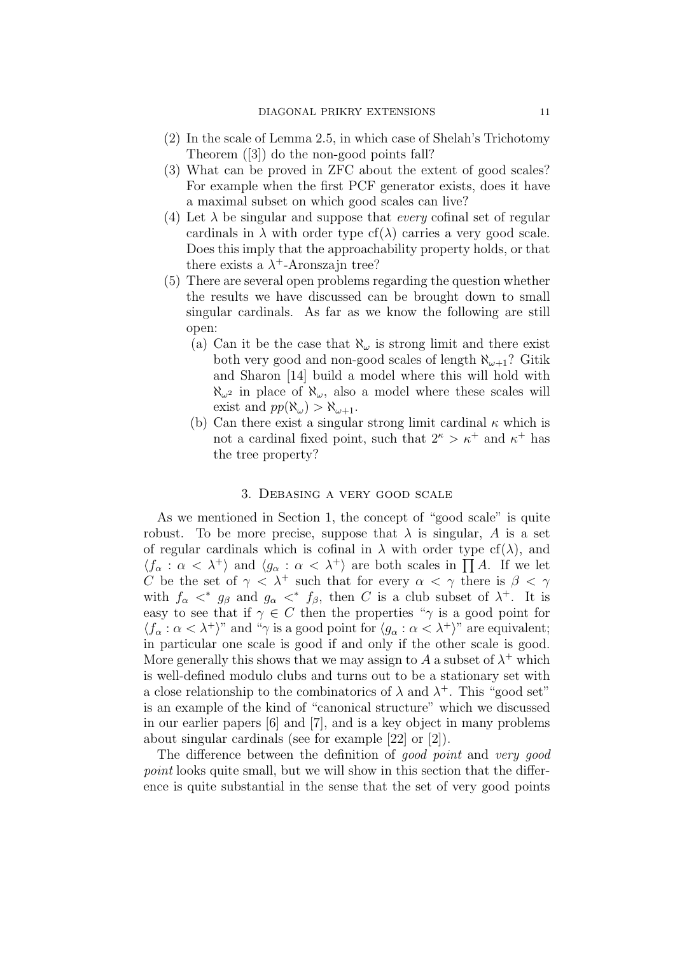- (2) In the scale of Lemma 2.5, in which case of Shelah's Trichotomy Theorem ([3]) do the non-good points fall?
- (3) What can be proved in ZFC about the extent of good scales? For example when the first PCF generator exists, does it have a maximal subset on which good scales can live?
- (4) Let  $\lambda$  be singular and suppose that *every* cofinal set of regular cardinals in  $\lambda$  with order type cf( $\lambda$ ) carries a very good scale. Does this imply that the approachability property holds, or that there exists a  $\lambda^+$ -Aronszajn tree?
- (5) There are several open problems regarding the question whether the results we have discussed can be brought down to small singular cardinals. As far as we know the following are still open:
	- (a) Can it be the case that  $\aleph_{\omega}$  is strong limit and there exist both very good and non-good scales of length  $\aleph_{\omega+1}$ ? Gitik and Sharon [14] build a model where this will hold with  $\aleph_{\omega^2}$  in place of  $\aleph_{\omega}$ , also a model where these scales will exist and  $pp(\aleph_{\omega}) > \aleph_{\omega+1}$ .
	- (b) Can there exist a singular strong limit cardinal  $\kappa$  which is not a cardinal fixed point, such that  $2^{\kappa} > \kappa^+$  and  $\kappa^+$  has the tree property?

## 3. Debasing a very good scale

As we mentioned in Section 1, the concept of "good scale" is quite robust. To be more precise, suppose that  $\lambda$  is singular, A is a set of regular cardinals which is cofinal in  $\lambda$  with order type cf( $\lambda$ ), and  $\langle f_{\alpha} : \alpha < \lambda^+ \rangle$  and  $\langle g_{\alpha} : \alpha < \lambda^+ \rangle$  are both scales in  $\prod A$ . If we let C be the set of  $\gamma < \lambda^+$  such that for every  $\alpha < \gamma$  there is  $\beta < \gamma$ with  $f_{\alpha} <^* g_{\beta}$  and  $g_{\alpha} <^* f_{\beta}$ , then C is a club subset of  $\lambda^+$ . It is easy to see that if  $\gamma \in C$  then the properties " $\gamma$  is a good point for  $\langle f_{\alpha} : \alpha < \lambda^+ \rangle$ " and " $\gamma$  is a good point for  $\langle g_{\alpha} : \alpha < \lambda^+ \rangle$ " are equivalent; in particular one scale is good if and only if the other scale is good. More generally this shows that we may assign to A a subset of  $\lambda^+$  which is well-defined modulo clubs and turns out to be a stationary set with a close relationship to the combinatorics of  $\lambda$  and  $\lambda^+$ . This "good set" is an example of the kind of "canonical structure" which we discussed in our earlier papers [6] and [7], and is a key object in many problems about singular cardinals (see for example [22] or [2]).

The difference between the definition of good point and very good point looks quite small, but we will show in this section that the difference is quite substantial in the sense that the set of very good points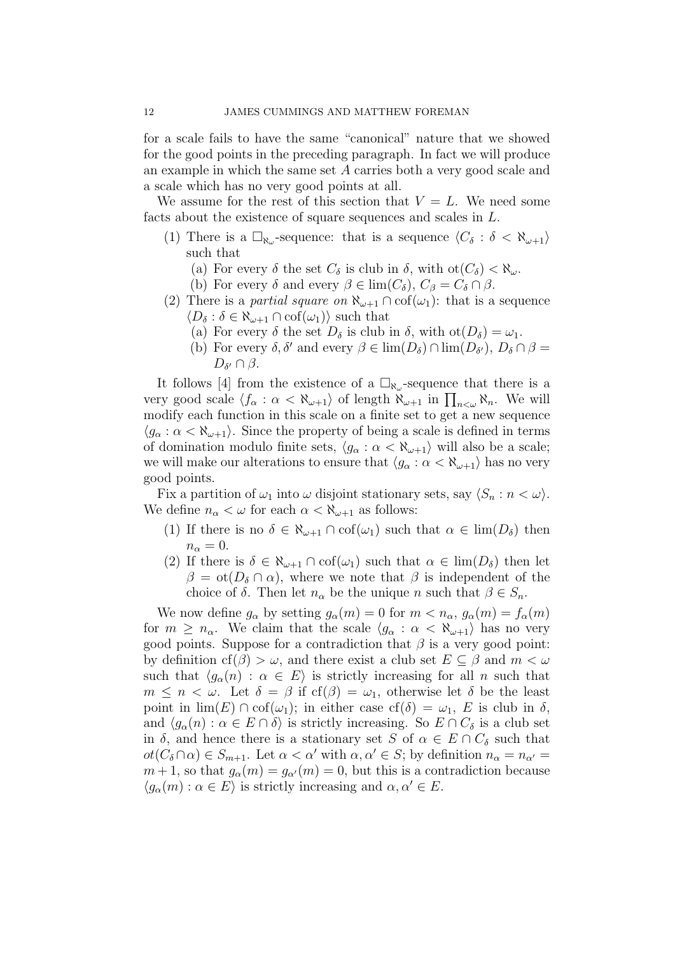for a scale fails to have the same "canonical" nature that we showed for the good points in the preceding paragraph. In fact we will produce an example in which the same set A carries both a very good scale and a scale which has no very good points at all.

We assume for the rest of this section that  $V = L$ . We need some facts about the existence of square sequences and scales in L.

- (1) There is a  $\Box_{\aleph_\omega}$ -sequence: that is a sequence  $\langle C_\delta : \delta < \aleph_{\omega+1} \rangle$ such that
	- (a) For every  $\delta$  the set  $C_{\delta}$  is club in  $\delta$ , with  $\text{ot}(C_{\delta}) < \aleph_{\omega}$ .
	- (b) For every  $\delta$  and every  $\beta \in \lim(C_{\delta}), C_{\beta} = C_{\delta} \cap \beta$ .
- (2) There is a *partial square on*  $\aleph_{\omega+1} \cap cof(\omega_1)$ : that is a sequence  $\langle D_{\delta} : \delta \in \aleph_{\omega+1} \cap \mathrm{cof}(\omega_1) \rangle$  such that
	- (a) For every  $\delta$  the set  $D_{\delta}$  is club in  $\delta$ , with  $\mathrm{ot}(D_{\delta}) = \omega_1$ .
	- (b) For every  $\delta, \delta'$  and every  $\beta \in \lim(D_\delta) \cap \lim(D_{\delta'})$ ,  $D_\delta \cap \beta =$  $D_{\delta'}\cap\beta.$

It follows [4] from the existence of a  $\Box_{\aleph_{\omega}}$ -sequence that there is a very good scale  $\langle f_\alpha : \alpha < \aleph_{\omega+1} \rangle$  of length  $\aleph_{\omega+1}$  in  $\prod_{n<\omega} \aleph_n$ . We will modify each function in this scale on a finite set to get a new sequence  $\langle q_{\alpha} : \alpha < \aleph_{\omega+1} \rangle$ . Since the property of being a scale is defined in terms of domination modulo finite sets,  $\langle g_{\alpha} : \alpha < \aleph_{\omega+1} \rangle$  will also be a scale; we will make our alterations to ensure that  $\langle g_{\alpha} : \alpha < \aleph_{\omega+1} \rangle$  has no very good points.

Fix a partition of  $\omega_1$  into  $\omega$  disjoint stationary sets, say  $\langle S_n : n < \omega \rangle$ . We define  $n_{\alpha} < \omega$  for each  $\alpha < \aleph_{\omega+1}$  as follows:

- (1) If there is no  $\delta \in \aleph_{\omega+1} \cap \text{cof}(\omega_1)$  such that  $\alpha \in \text{lim}(D_\delta)$  then  $n_{\alpha}=0.$
- (2) If there is  $\delta \in \aleph_{\omega+1} \cap \text{cof}(\omega_1)$  such that  $\alpha \in \text{lim}(D_\delta)$  then let  $\beta = \text{ot}(D_{\delta} \cap \alpha)$ , where we note that  $\beta$  is independent of the choice of  $\delta$ . Then let  $n_{\alpha}$  be the unique n such that  $\beta \in S_n$ .

We now define  $g_{\alpha}$  by setting  $g_{\alpha}(m) = 0$  for  $m < n_{\alpha}, g_{\alpha}(m) = f_{\alpha}(m)$ for  $m \geq n_{\alpha}$ . We claim that the scale  $\langle g_{\alpha} : \alpha < \aleph_{\alpha+1} \rangle$  has no very good points. Suppose for a contradiction that  $\beta$  is a very good point: by definition cf( $\beta$ ) >  $\omega$ , and there exist a club set  $E \subseteq \beta$  and  $m < \omega$ such that  $\langle g_{\alpha}(n) : \alpha \in E \rangle$  is strictly increasing for all n such that  $m \leq n < \omega$ . Let  $\delta = \beta$  if cf( $\beta$ ) =  $\omega_1$ , otherwise let  $\delta$  be the least point in  $\lim(E) \cap \text{cof}(\omega_1)$ ; in either case  $\text{cf}(\delta) = \omega_1$ , E is club in  $\delta$ , and  $\langle g_{\alpha}(n) : \alpha \in E \cap \delta \rangle$  is strictly increasing. So  $E \cap C_{\delta}$  is a club set in  $\delta$ , and hence there is a stationary set S of  $\alpha \in E \cap C_{\delta}$  such that  $ot(C_{\delta}\cap\alpha)\in S_{m+1}$ . Let  $\alpha<\alpha'$  with  $\alpha,\alpha'\in S$ ; by definition  $n_{\alpha}=n_{\alpha'}=0$  $m+1$ , so that  $g_{\alpha}(m) = g_{\alpha'}(m) = 0$ , but this is a contradiction because  $\langle g_{\alpha}(m) : \alpha \in E \rangle$  is strictly increasing and  $\alpha, \alpha' \in E$ .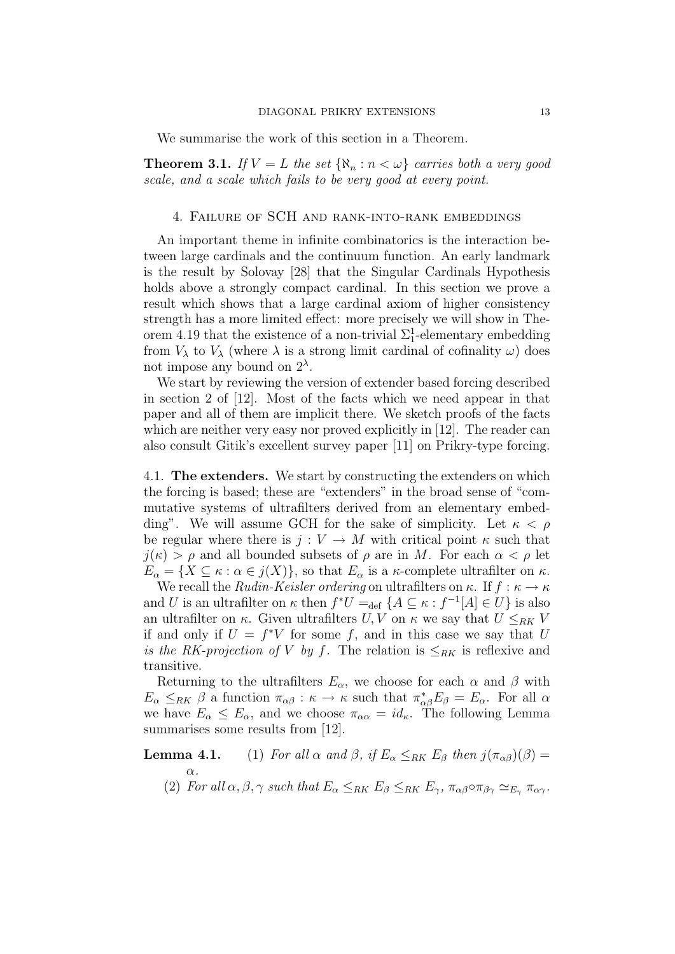We summarise the work of this section in a Theorem.

**Theorem 3.1.** If  $V = L$  the set  $\{\aleph_n : n < \omega\}$  carries both a very good scale, and a scale which fails to be very good at every point.

## 4. Failure of SCH and rank-into-rank embeddings

An important theme in infinite combinatorics is the interaction between large cardinals and the continuum function. An early landmark is the result by Solovay [28] that the Singular Cardinals Hypothesis holds above a strongly compact cardinal. In this section we prove a result which shows that a large cardinal axiom of higher consistency strength has a more limited effect: more precisely we will show in Theorem 4.19 that the existence of a non-trivial  $\Sigma_1^1$ -elementary embedding from  $V_{\lambda}$  to  $V_{\lambda}$  (where  $\lambda$  is a strong limit cardinal of cofinality  $\omega$ ) does not impose any bound on  $2^{\lambda}$ .

We start by reviewing the version of extender based forcing described in section 2 of [12]. Most of the facts which we need appear in that paper and all of them are implicit there. We sketch proofs of the facts which are neither very easy nor proved explicitly in [12]. The reader can also consult Gitik's excellent survey paper [11] on Prikry-type forcing.

4.1. The extenders. We start by constructing the extenders on which the forcing is based; these are "extenders" in the broad sense of "commutative systems of ultrafilters derived from an elementary embedding". We will assume GCH for the sake of simplicity. Let  $\kappa < \rho$ be regular where there is  $j: V \to M$  with critical point  $\kappa$  such that  $j(\kappa) > \rho$  and all bounded subsets of  $\rho$  are in M. For each  $\alpha < \rho$  let  $E_{\alpha} = \{ X \subseteq \kappa : \alpha \in j(X) \},$  so that  $E_{\alpha}$  is a  $\kappa$ -complete ultrafilter on  $\kappa$ .

We recall the *Rudin-Keisler ordering* on ultrafilters on  $\kappa$ . If  $f : \kappa \to \kappa$ and U is an ultrafilter on  $\kappa$  then  $f^*U =_{def} \{A \subseteq \kappa : f^{-1}[A] \in U\}$  is also an ultrafilter on  $\kappa$ . Given ultrafilters  $U, V$  on  $\kappa$  we say that  $U \leq_{RK} V$ if and only if  $U = f^*V$  for some f, and in this case we say that U is the RK-projection of V by f. The relation is  $\leq_{RK}$  is reflexive and transitive.

Returning to the ultrafilters  $E_{\alpha}$ , we choose for each  $\alpha$  and  $\beta$  with  $E_{\alpha} \leq_{RK} \beta$  a function  $\pi_{\alpha\beta} : \kappa \to \kappa$  such that  $\pi_{\alpha\beta}^* E_{\beta} = E_{\alpha}$ . For all  $\alpha$ we have  $E_{\alpha} \leq E_{\alpha}$ , and we choose  $\pi_{\alpha} = id_{\kappa}$ . The following Lemma summarises some results from [12].

**Lemma 4.1.** (1) For all  $\alpha$  and  $\beta$ , if  $E_{\alpha} \leq_{RK} E_{\beta}$  then  $j(\pi_{\alpha\beta})(\beta) =$ 

 $\alpha$ .

(2) For all  $\alpha, \beta, \gamma$  such that  $E_{\alpha} \leq_{RK} E_{\beta} \leq_{RK} E_{\gamma}$ ,  $\pi_{\alpha\beta} \circ \pi_{\beta\gamma} \simeq_{E_{\gamma}} \pi_{\alpha\gamma}$ .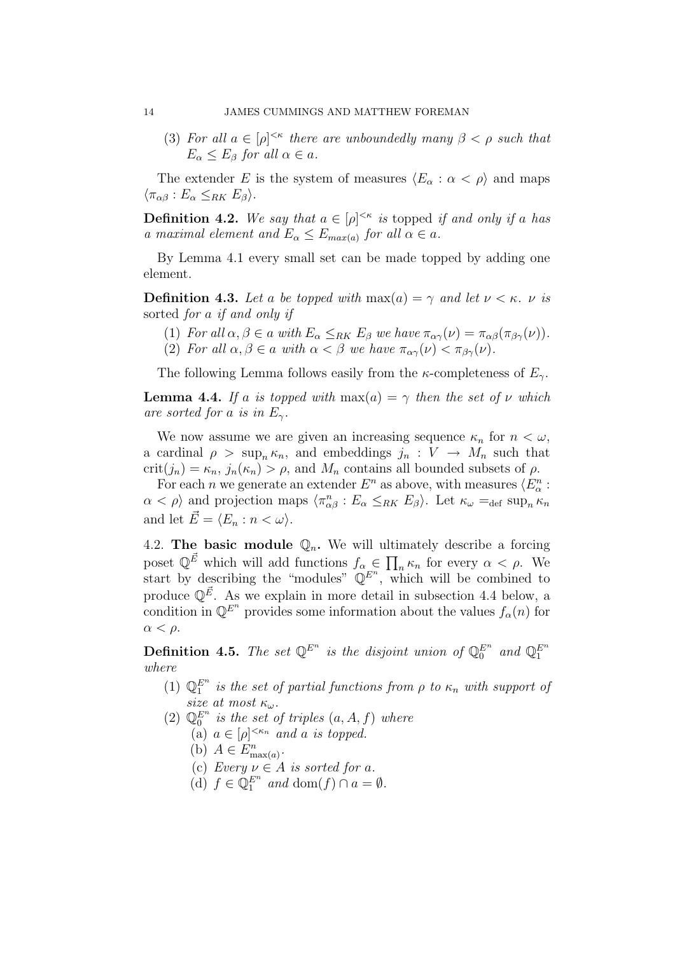(3) For all  $a \in [\rho]^{<\kappa}$  there are unboundedly many  $\beta < \rho$  such that  $E_{\alpha} \leq E_{\beta}$  for all  $\alpha \in a$ .

The extender E is the system of measures  $\langle E_{\alpha} : \alpha < \rho \rangle$  and maps  $\langle \pi_{\alpha\beta} : E_{\alpha} \leq_{RK} E_{\beta} \rangle.$ 

**Definition 4.2.** We say that  $a \in [\rho]^{<\kappa}$  is topped if and only if a has a maximal element and  $E_{\alpha} \le E_{max(a)}$  for all  $\alpha \in a$ .

By Lemma 4.1 every small set can be made topped by adding one element.

**Definition 4.3.** Let a be topped with  $max(a) = \gamma$  and let  $\nu < \kappa$ .  $\nu$  is sorted for a if and only if

- (1) For all  $\alpha, \beta \in a$  with  $E_{\alpha} \leq_{RK} E_{\beta}$  we have  $\pi_{\alpha\gamma}(\nu) = \pi_{\alpha\beta}(\pi_{\beta\gamma}(\nu)).$
- (2) For all  $\alpha, \beta \in \alpha$  with  $\alpha < \beta$  we have  $\pi_{\alpha\gamma}(\nu) < \pi_{\beta\gamma}(\nu)$ .

The following Lemma follows easily from the  $\kappa$ -completeness of  $E_{\gamma}$ .

**Lemma 4.4.** If a is topped with max(a) =  $\gamma$  then the set of  $\nu$  which are sorted for a is in  $E_{\gamma}$ .

We now assume we are given an increasing sequence  $\kappa_n$  for  $n < \omega$ , a cardinal  $\rho > \sup_n \kappa_n$ , and embeddings  $j_n : V \to M_n$  such that  $crit(j_n) = \kappa_n, j_n(\kappa_n) > \rho$ , and  $M_n$  contains all bounded subsets of  $\rho$ .

For each *n* we generate an extender  $E^n$  as above, with measures  $\langle E_{\alpha}^n :$  $\alpha < \rho$  and projection maps  $\langle \pi_{\alpha\beta}^n : E_\alpha \leq_{RK} E_\beta \rangle$ . Let  $\kappa_\omega =_{\text{def}} \text{sup}_n \kappa_n$ and let  $\vec{E} = \langle E_n : n < \omega \rangle$ .

4.2. The basic module  $\mathbb{Q}_n$ . We will ultimately describe a forcing poset  $\mathbb{Q}^{\vec{E}}$  which will add functions  $f_{\alpha} \in \prod_n \kappa_n$  for every  $\alpha < \rho$ . We start by describing the "modules"  $\mathbb{Q}^{E^n}$ , which will be combined to produce  $\mathbb{Q}^{\vec{E}}$ . As we explain in more detail in subsection 4.4 below, a condition in  $\mathbb{Q}^{E^n}$  provides some information about the values  $f_\alpha(n)$  for  $\alpha < \rho$ .

**Definition 4.5.** The set  $\mathbb{Q}^{E^n}$  is the disjoint union of  $\mathbb{Q}_0^{E^n}$  and  $\mathbb{Q}_1^{E^n}$ where

- (1)  $\mathbb{Q}_1^{E^n}$  is the set of partial functions from  $\rho$  to  $\kappa_n$  with support of size at most  $\kappa_{\omega}$ .
- (2)  $\mathbb{Q}_0^{E^n}$  is the set of triples  $(a, A, f)$  where
	- (a)  $a \in [\rho]^{<\kappa_n}$  and a is topped.
	- (b)  $A \in E_{\max(a)}^n$ .
	- (c) Every  $\nu \in A$  is sorted for a.
	- (d)  $f \in \mathbb{Q}_1^{E^n}$  and  $\text{dom}(f) \cap a = \emptyset$ .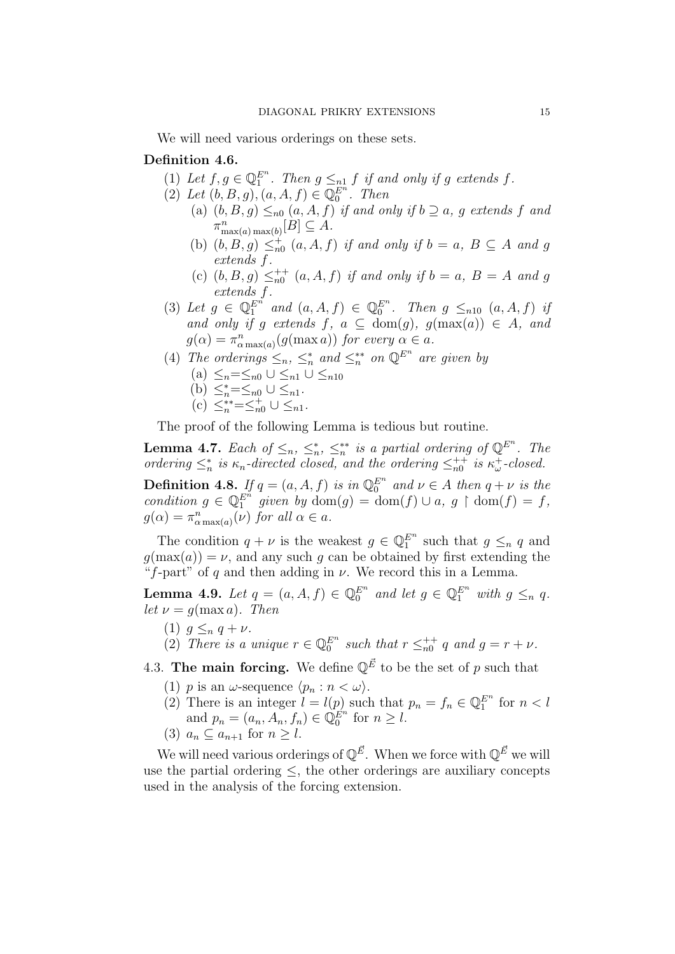We will need various orderings on these sets.

# Definition 4.6.

- (1) Let  $f, g \in \mathbb{Q}_1^{E^n}$ . Then  $g \leq_{n} f$  if and only if g extends f.
- (2) Let  $(b, B, g), (a, A, f) \in \mathbb{Q}_0^{E^n}$ . Then (a)  $(b, B, g) \leq_{n} (a, A, f)$  if and only if  $b \supseteq a$ , g extends f and
	- $\pi_{\max(a)\max(b)}^n[B] \subseteq A.$ (b)  $(b, B, g) \leq^+_{n0} (a, A, f)$  if and only if  $b = a, B \subseteq A$  and g
	- extends f. (c)  $(b, B, g) \leq_{n0}^{++} (a, A, f)$  if and only if  $b = a, B = A$  and g extends f.
- (3) Let  $g \in \mathbb{Q}_1^{E^n}$  and  $(a, A, f) \in \mathbb{Q}_0^{E^n}$ . Then  $g \leq_{n}$   $(a, A, f)$  if and only if g extends f,  $a \subseteq \text{dom}(g)$ ,  $g(\max(a)) \in A$ , and  $g(\alpha) = \pi_{\alpha \max(a)}^n(g(\max a))$  for every  $\alpha \in a$ .
- (4) The orderings  $\leq_n, \leq_n^*$  and  $\leq_n^{**}$  on  $\mathbb{Q}^{E^n}$  are given by (a)  $\leq_n=\leq_{n0}$   $\cup$   $\leq_{n1}$   $\cup$   $\leq_{n10}$ (b)  $\leq_n^*=\leq_{n0} 0 \leq_{n1}$ .
	-
	- (c)  $\leq_n^{**}=\leq_{n0}^+ \cup \leq_{n1}$ .

The proof of the following Lemma is tedious but routine.

**Lemma 4.7.** Each of  $\leq_n$ ,  $\leq_n^*$ ,  $\leq_n^{**}$  is a partial ordering of  $\mathbb{Q}^{E^n}$ . The ordering  $\leq_n^*$  is  $\kappa_n$ -directed closed, and the ordering  $\leq_{n=0}^{n+1}$  is  $\kappa_\omega^+$ -closed.

**Definition 4.8.** If  $q = (a, A, f)$  is in  $\mathbb{Q}_0^{E^n}$  and  $\nu \in A$  then  $q + \nu$  is the condition  $g \in \mathbb{Q}_1^{E^n}$  given by  $\text{dom}(g) = \text{dom}(f) \cup a, g \restriction \text{dom}(f) = f$ ,  $g(\alpha) = \pi_{\alpha \max(a)}^n(\nu)$  for all  $\alpha \in a$ .

The condition  $q + \nu$  is the weakest  $g \in \mathbb{Q}_1^{E^n}$  such that  $g \leq_n q$  and  $g(\max(a)) = \nu$ , and any such g can be obtained by first extending the "f-part" of q and then adding in  $\nu$ . We record this in a Lemma.

**Lemma 4.9.** Let  $q = (a, A, f) \in \mathbb{Q}_0^{E^n}$  and let  $g \in \mathbb{Q}_1^{E^n}$  with  $g \leq_n q$ . let  $\nu = q(\max a)$ . Then

- (1)  $g \leq_n q + \nu$ .
- (2) There is a unique  $r \in \mathbb{Q}_0^{E^n}$  such that  $r \leq_{n=0}^{n+1} q$  and  $g = r + \nu$ .

4.3. The main forcing. We define  $\mathbb{Q}^{\vec{E}}$  to be the set of p such that

- (1) p is an  $\omega$ -sequence  $\langle p_n : n < \omega \rangle$ .
- (2) There is an integer  $l = l(p)$  such that  $p_n = f_n \in \mathbb{Q}_1^{E^n}$  for  $n < l$ and  $p_n = (a_n, A_n, f_n) \in \tilde{\mathbb{Q}}_0^{E^n}$  for  $n \geq l$ .
- (3)  $a_n \subset a_{n+1}$  for  $n > l$ .

We will need various orderings of  $\mathbb{Q}^{\vec{E}}$ . When we force with  $\mathbb{Q}^{\vec{E}}$  we will use the partial ordering  $\leq$ , the other orderings are auxiliary concepts used in the analysis of the forcing extension.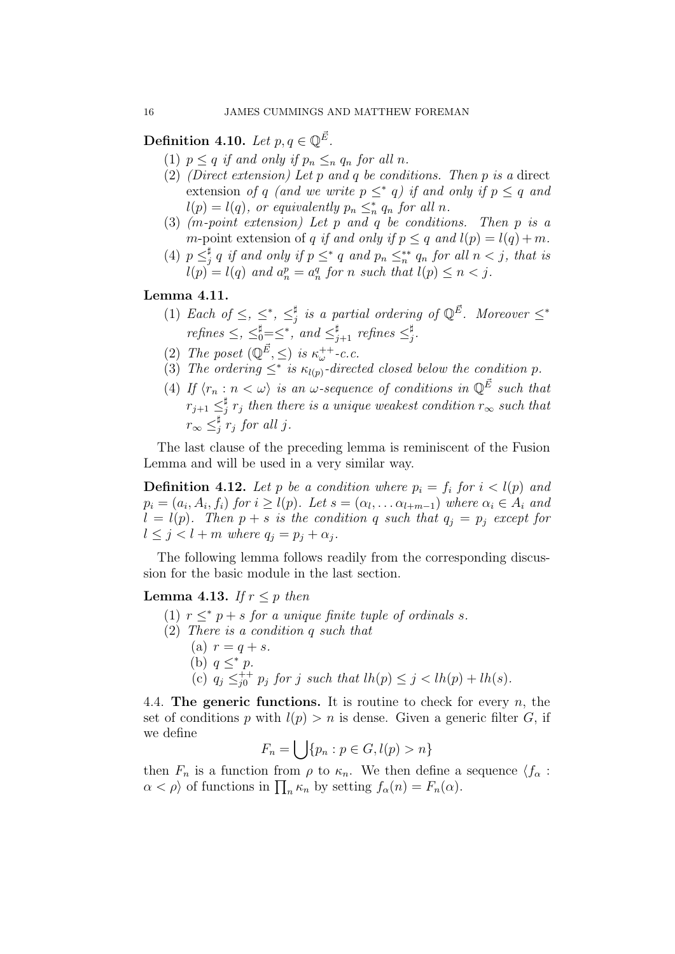Definition 4.10. Let  $p,q\in\mathbb{Q}^{\vec{E}}.$ 

- (1)  $p \leq q$  if and only if  $p_n \leq_n q_n$  for all n.
- (2) (Direct extension) Let p and q be conditions. Then p is a direct extension of q (and we write  $p \leq q$ ) if and only if  $p \leq q$  and  $l(p) = l(q)$ , or equivalently  $p_n \leq_n^* q_n$  for all n.
- (3)  $(m$ -point extension) Let p and q be conditions. Then p is a m-point extension of q if and only if  $p \leq q$  and  $l(p) = l(q) + m$ .
- (4)  $p \leq_i^{\sharp}$  $j \nmid q$  if and only if  $p \leq^* q$  and  $p_n \leq^* n$  for all  $n < j$ , that is  $l(p) = l(q)$  and  $a_n^p = a_n^q$  for n such that  $l(p) \leq n < j$ .

# Lemma 4.11.

- (1) Each of  $\leq, \leq^*, \leq^{\sharp}$  $j$  is a partial ordering of  $\mathbb{Q}^{\vec{E}}$ . Moreover  $\leq^*$  $refines \leq, \leq^{\sharp}_{0}=\leq^{*}, and \leq^{\sharp}_{j+1}$  refines  $\leq^{\sharp}_{j}$ ¤<br>\_;
- (2) The poset  $(\mathbb{Q}^{\vec{E}}, \leq)$  is  $\kappa_{\omega}^{++}$ -c.c.
- (3) The ordering  $\leq^*$  is  $\kappa_{l(p)}$ -directed closed below the condition p.
- (4) If  $\langle r_n : n \langle \omega \rangle$  is an  $\omega$ -sequence of conditions in  $\mathbb{Q}^{\vec{E}}$  such that  $r_{j+1} \leq_i^{\sharp}$  $\frac{\pi}{j}$   $r_j$  then there is a unique weakest condition  $r_\infty$  such that  $r_\infty \leq_i^\sharp$  $\frac{a}{j}$   $r_j$  for all j.

The last clause of the preceding lemma is reminiscent of the Fusion Lemma and will be used in a very similar way.

**Definition 4.12.** Let p be a condition where  $p_i = f_i$  for  $i < l(p)$  and  $p_i = (a_i, A_i, f_i)$  for  $i \geq l(p)$ . Let  $s = (\alpha_l, \dots \alpha_{l+m-1})$  where  $\alpha_i \in A_i$  and  $l = l(p)$ . Then  $p + s$  is the condition q such that  $q_i = p_i$  except for  $l \leq j < l + m$  where  $q_j = p_j + \alpha_j$ .

The following lemma follows readily from the corresponding discussion for the basic module in the last section.

## **Lemma 4.13.** If  $r \leq p$  then

- (1)  $r <^* p + s$  for a unique finite tuple of ordinals s.
- (2) There is a condition q such that
	- (a)  $r = q + s$ . (b)  $q \leq^* p$ . (c)  $q_j \leq_{i=0}^{++}$  $j_0^{++}$   $p_j$  for j such that  $lh(p) \leq j < lh(p) + lh(s)$ .

4.4. The generic functions. It is routine to check for every  $n$ , the set of conditions p with  $l(p) > n$  is dense. Given a generic filter G, if we define

$$
F_n = \bigcup \{ p_n : p \in G, l(p) > n \}
$$

then  $F_n$  is a function from  $\rho$  to  $\kappa_n$ . We then define a sequence  $\langle f_\alpha :$  $\alpha < \rho$  of functions in  $\prod_n \kappa_n$  by setting  $f_\alpha(n) = F_n(\alpha)$ .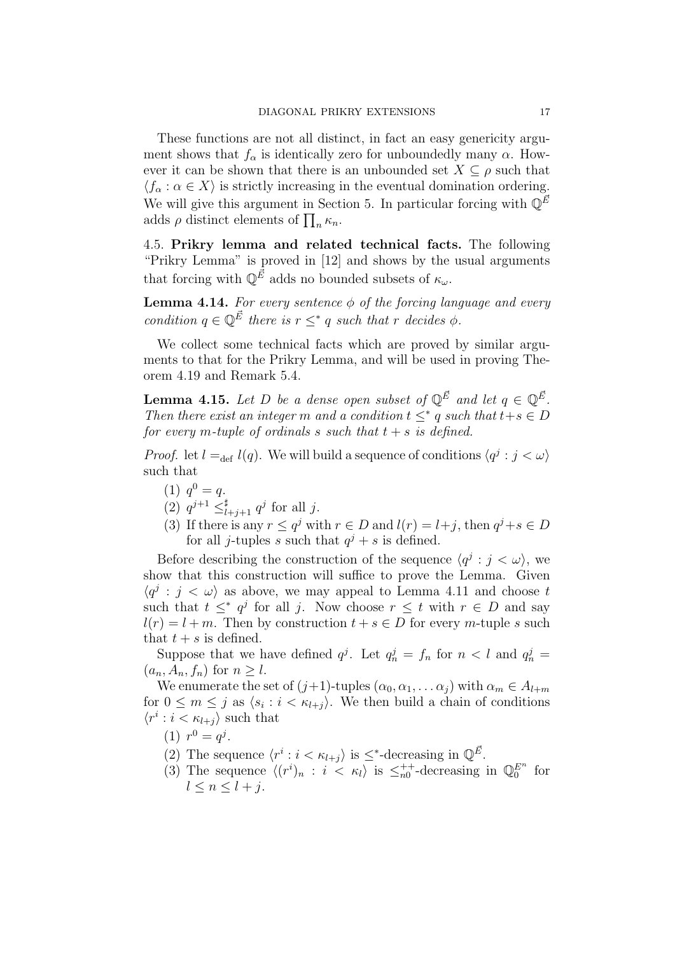These functions are not all distinct, in fact an easy genericity argument shows that  $f_{\alpha}$  is identically zero for unboundedly many  $\alpha$ . However it can be shown that there is an unbounded set  $X \subseteq \rho$  such that  $\langle f_\alpha : \alpha \in X \rangle$  is strictly increasing in the eventual domination ordering. We will give this argument in Section 5. In particular forcing with  $\mathbb{Q}^E$ adds  $\rho$  distinct elements of  $\prod_n \kappa_n$ .

4.5. Prikry lemma and related technical facts. The following "Prikry Lemma" is proved in [12] and shows by the usual arguments that forcing with  $\mathbb{Q}^{\vec{E}}$  adds no bounded subsets of  $\kappa_{\omega}$ .

**Lemma 4.14.** For every sentence  $\phi$  of the forcing language and every condition  $q \in \mathbb{Q}^{\vec{E}}$  there is  $r \leq^* q$  such that r decides  $\phi$ .

We collect some technical facts which are proved by similar arguments to that for the Prikry Lemma, and will be used in proving Theorem 4.19 and Remark 5.4.

**Lemma 4.15.** Let D be a dense open subset of  $\mathbb{Q}^{\vec{E}}$  and let  $q \in \mathbb{Q}^{\vec{E}}$ . Then there exist an integer m and a condition  $t \leq^* q$  such that  $t+s \in D$ for every m-tuple of ordinals s such that  $t + s$  is defined.

*Proof.* let  $l =_{def} l(q)$ . We will build a sequence of conditions  $\langle q^j : j < \omega \rangle$ such that

- (1)  $q^0 = q$ .
- (2)  $q^{j+1} \leq_{l+j+1}^{\sharp} q^j$  for all j.
- (3) If there is any  $r \leq q^j$  with  $r \in D$  and  $l(r) = l+j$ , then  $q^j + s \in D$ for all *j*-tuples s such that  $q^{j} + s$  is defined.

Before describing the construction of the sequence  $\langle q^j : j < \omega \rangle$ , we show that this construction will suffice to prove the Lemma. Given  $\langle q^j : j < \omega \rangle$  as above, we may appeal to Lemma 4.11 and choose t such that  $t \leq^* q^j$  for all j. Now choose  $r \leq t$  with  $r \in D$  and say  $l(r) = l + m$ . Then by construction  $t + s \in D$  for every m-tuple s such that  $t + s$  is defined.

Suppose that we have defined  $q^j$ . Let  $q_n^j = f_n$  for  $n < l$  and  $q_n^j =$  $(a_n, A_n, f_n)$  for  $n \geq l$ .

We enumerate the set of  $(j+1)$ -tuples  $(\alpha_0, \alpha_1, \dots \alpha_i)$  with  $\alpha_m \in A_{l+m}$ for  $0 \leq m \leq j$  as  $\langle s_i : i < \kappa_{l+j} \rangle$ . We then build a chain of conditions  $\langle r^i : i < \kappa_{l+j} \rangle$  such that

- (1)  $r^0 = q^j$ .
- (2) The sequence  $\langle r^i : i < \kappa_{l+j} \rangle$  is  $\leq^*$ -decreasing in  $\mathbb{Q}^{\vec{E}}$ .
- (3) The sequence  $\langle (r^i)_n : i \leq \kappa_l \rangle$  is  $\leq_{n0}^{++}$ -decreasing in  $\mathbb{Q}_0^{E^n}$  for  $l \leq n \leq l + j$ .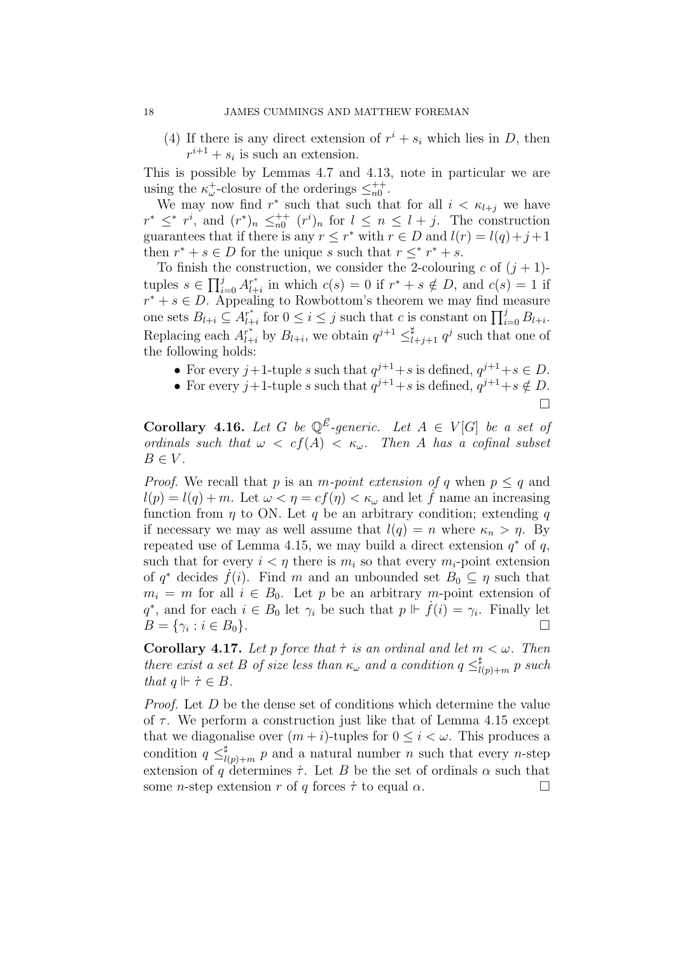(4) If there is any direct extension of  $r^i + s_i$  which lies in D, then  $r^{i+1} + s_i$  is such an extension.

This is possible by Lemmas 4.7 and 4.13, note in particular we are using the  $\kappa_{\omega}^{+}$ -closure of the orderings  $\leq_{n0}^{++}$ .

We may now find  $r^*$  such that such that for all  $i < \kappa_{l+j}$  we have  $r^* \leq^* r^i$ , and  $(r^*)_n \leq^{++}_{n0} (r^i)_n$  for  $l \leq n \leq l+j$ . The construction guarantees that if there is any  $r \leq r^*$  with  $r \in D$  and  $l(r) = l(q) + j + 1$ then  $r^* + s \in D$  for the unique s such that  $r \leq^* r^* + s$ .

To finish the construction, we consider the 2-colouring c of  $(j + 1)$ tuples  $s \in \prod_{i=0}^j A^{r^*}_{l+1}$  $\int_{l+i}^{r^*}$  in which  $c(s) = 0$  if  $r^* + s \notin D$ , and  $c(s) = 1$  if  $r^* + s \in D$ . Appealing to Rowbottom's theorem we may find measure one sets  $B_{l+i} \subseteq A^{r^*}_{l+1}$  $\prod_{l+i}^*$  for  $0 \le i \le j$  such that c is constant on  $\prod_{i=0}^j B_{l+i}$ . Replacing each  $A_{l+i}^{r^*}$  by  $B_{l+i}$ , we obtain  $q^{j+1} \leq_{l+j+1}^{\sharp} q^j$  such that one of the following holds:

- For every  $j+1$ -tuple s such that  $q^{j+1}+s$  is defined,  $q^{j+1}+s \in D$ .
- For every  $j+1$ -tuple s such that  $q^{j+1}+s$  is defined,  $q^{j+1}+s \notin D$ .

$$
\Box
$$

**Corollary 4.16.** Let G be  $\mathbb{Q}^{\vec{E}}$ -generic. Let  $A \in V[G]$  be a set of ordinals such that  $\omega < cf(A) < \kappa_{\omega}$ . Then A has a cofinal subset  $B \in V$ .

*Proof.* We recall that p is an m-point extension of q when  $p \leq q$  and  $l(p) = l(q) + m$ . Let  $\omega < \eta = cf(\eta) < \kappa_{\omega}$  and let f name an increasing function from  $\eta$  to ON. Let q be an arbitrary condition; extending q if necessary we may as well assume that  $l(q) = n$  where  $\kappa_n > \eta$ . By repeated use of Lemma 4.15, we may build a direct extension  $q^*$  of  $q$ , such that for every  $i < \eta$  there is  $m_i$  so that every  $m_i$ -point extension of  $q^*$  decides  $\dot{f}(i)$ . Find m and an unbounded set  $B_0 \subseteq \eta$  such that  $m_i = m$  for all  $i \in B_0$ . Let p be an arbitrary m-point extension of  $q^*$ , and for each  $i \in B_0$  let  $\gamma_i$  be such that  $p \Vdash \dot{f}(i) = \gamma_i$ . Finally let  $B = \{\gamma_i : i \in B_0\}.$ 

**Corollary 4.17.** Let p force that  $\tau$  is an ordinal and let  $m < \omega$ . Then there exist a set B of size less than  $\kappa_{\omega}$  and a condition  $q \leq l$  $\prod_{l(p)+m}^{\sharp} p \; such$ that  $q \Vdash \dot{\tau} \in B$ .

Proof. Let D be the dense set of conditions which determine the value of  $\tau$ . We perform a construction just like that of Lemma 4.15 except that we diagonalise over  $(m+i)$ -tuples for  $0 \leq i \leq \omega$ . This produces a condition  $q \leq_l^{\sharp}$  $\prod_{l(p)+m}^{\sharp} p$  and a natural number n such that every n-step extension of q determines  $\dot{\tau}$ . Let B be the set of ordinals  $\alpha$  such that some *n*-step extension r of q forces  $\dot{\tau}$  to equal  $\alpha$ .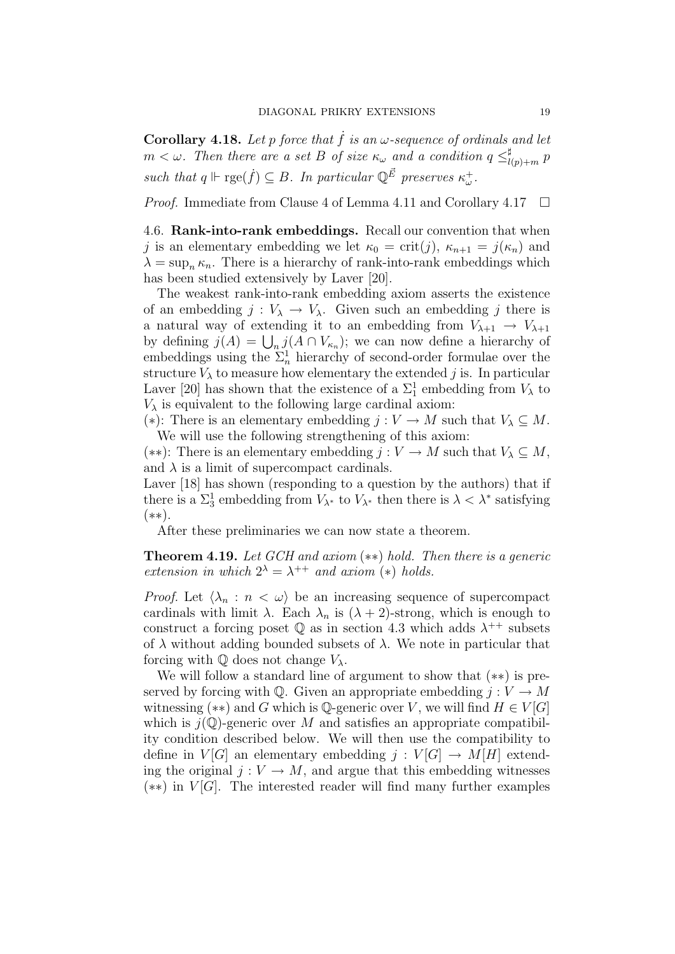Corollary 4.18. Let p force that  $\dot{f}$  is an  $\omega$ -sequence of ordinals and let  $m < \omega$ . Then there are a set B of size  $\kappa_{\omega}$  and a condition  $q \leq^{\sharp}_{l}$  $\prod_{l(p)+m}^{\sharp} p$ such that  $q \Vdash \text{rge}(\dot{f}) \subseteq B$ . In particular  $\mathbb{Q}^{\vec{E}}$  preserves  $\kappa^+_{\omega}$ .

*Proof.* Immediate from Clause 4 of Lemma 4.11 and Corollary 4.17  $\Box$ 

4.6. Rank-into-rank embeddings. Recall our convention that when j is an elementary embedding we let  $\kappa_0 = \text{crit}(j)$ ,  $\kappa_{n+1} = j(\kappa_n)$  and  $\lambda = \sup_{n} \kappa_n$ . There is a hierarchy of rank-into-rank embeddings which has been studied extensively by Laver [20].

The weakest rank-into-rank embedding axiom asserts the existence of an embedding  $j : V_{\lambda} \to V_{\lambda}$ . Given such an embedding j there is a natural way of extending it to an embedding from  $V_{\lambda+1} \to V_{\lambda+1}$ by defining  $j(A) = \bigcup_n j(A \cap V_{\kappa_n})$ ; we can now define a hierarchy of embeddings using the  $\Sigma_n^1$  hierarchy of second-order formulae over the structure  $V_{\lambda}$  to measure how elementary the extended j is. In particular Laver [20] has shown that the existence of a  $\Sigma_1^1$  embedding from  $V_\lambda$  to  $V_{\lambda}$  is equivalent to the following large cardinal axiom:

(\*): There is an elementary embedding  $j: V \to M$  such that  $V_{\lambda} \subseteq M$ . We will use the following strengthening of this axiom:

(\*\*): There is an elementary embedding  $j: V \to M$  such that  $V_\lambda \subseteq M$ , and  $\lambda$  is a limit of supercompact cardinals.

Laver [18] has shown (responding to a question by the authors) that if there is a  $\Sigma_3^1$  embedding from  $V_{\lambda^*}$  to  $V_{\lambda^*}$  then there is  $\lambda < \lambda^*$  satisfying (∗∗).

After these preliminaries we can now state a theorem.

**Theorem 4.19.** Let GCH and axiom  $(**)$  hold. Then there is a generic extension in which  $2^{\lambda} = \lambda^{++}$  and axiom (\*) holds.

*Proof.* Let  $\langle \lambda_n : n \langle \omega \rangle$  be an increasing sequence of supercompact cardinals with limit  $\lambda$ . Each  $\lambda_n$  is  $(\lambda + 2)$ -strong, which is enough to construct a forcing poset  $\mathbb Q$  as in section 4.3 which adds  $\lambda^{++}$  subsets of  $\lambda$  without adding bounded subsets of  $\lambda$ . We note in particular that forcing with  $\mathbb Q$  does not change  $V_\lambda$ .

We will follow a standard line of argument to show that (∗∗) is preserved by forcing with  $\mathbb{Q}$ . Given an appropriate embedding  $j: V \to M$ witnessing (\*\*) and G which is  $\mathbb{Q}$ -generic over V, we will find  $H \in V[G]$ which is  $j(\mathbb{Q})$ -generic over M and satisfies an appropriate compatibility condition described below. We will then use the compatibility to define in  $V[G]$  an elementary embedding  $j: V[G] \to M[H]$  extending the original  $j: V \to M$ , and argue that this embedding witnesses  $(**)$  in  $V[G]$ . The interested reader will find many further examples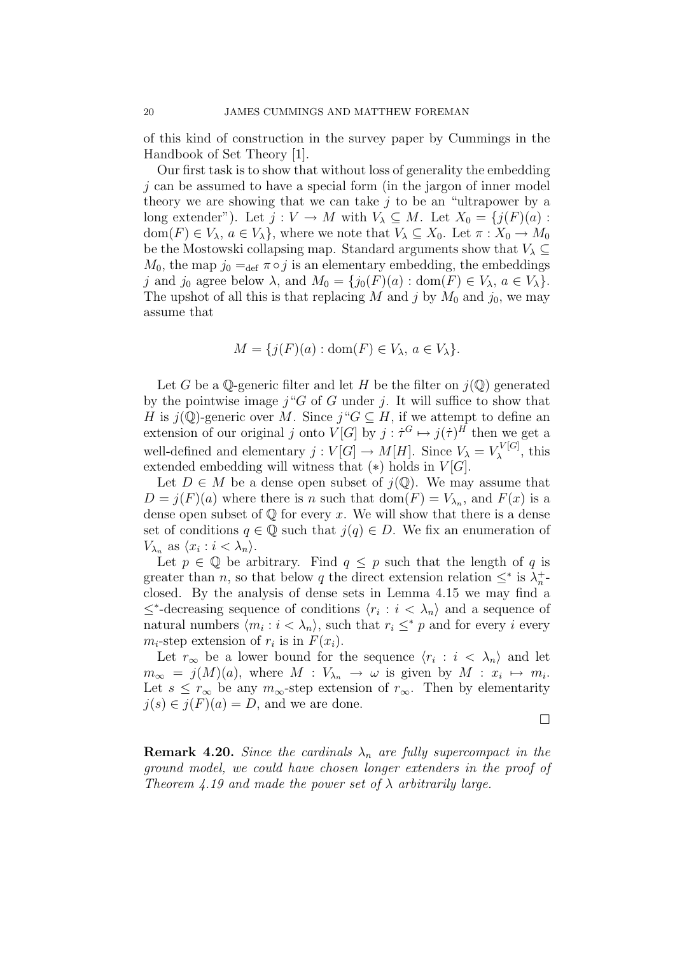of this kind of construction in the survey paper by Cummings in the Handbook of Set Theory [1].

Our first task is to show that without loss of generality the embedding  $i$  can be assumed to have a special form (in the jargon of inner model theory we are showing that we can take  $j$  to be an "ultrapower by a long extender"). Let  $j: V \to M$  with  $V_{\lambda} \subseteq M$ . Let  $X_0 = \{j(F)(a) :$  $dom(F) \in V_\lambda$ ,  $a \in V_\lambda$ , where we note that  $V_\lambda \subseteq X_0$ . Let  $\pi : X_0 \to M_0$ be the Mostowski collapsing map. Standard arguments show that  $V_{\lambda} \subseteq$  $M_0$ , the map  $j_0 =_{\text{def}} \pi \circ j$  is an elementary embedding, the embeddings j and j<sub>0</sub> agree below  $\lambda$ , and  $M_0 = \{j_0(F)(a) : \text{dom}(F) \in V_\lambda, a \in V_\lambda\}.$ The upshot of all this is that replacing M and j by  $M_0$  and  $j_0$ , we may assume that

$$
M = \{ j(F)(a) : \text{dom}(F) \in V_{\lambda}, \, a \in V_{\lambda} \}.
$$

Let G be a Q-generic filter and let H be the filter on  $j(\mathbb{Q})$  generated by the pointwise image  $j^{\alpha}G$  of G under j. It will suffice to show that H is  $j(\mathbb{Q})$ -generic over M. Since  $j''G \subseteq H$ , if we attempt to define an extension of our original j onto  $V[G]$  by  $j : \dot{\tau}^G \mapsto j(\dot{\tau})^H$  then we get a well-defined and elementary  $j: V[G] \to M[H]$ . Since  $V_{\lambda} = V_{\lambda}^{V[G]}$  $\chi^{\nu[\mathbf{G}]}\,$ , this extended embedding will witness that  $(*)$  holds in  $V[G]$ .

Let  $D \in M$  be a dense open subset of  $j(\mathbb{Q})$ . We may assume that  $D = j(F)(a)$  where there is n such that  $dom(F) = V_{\lambda_n}$ , and  $F(x)$  is a dense open subset of  $\mathbb Q$  for every x. We will show that there is a dense set of conditions  $q \in \mathbb{Q}$  such that  $j(q) \in D$ . We fix an enumeration of  $V_{\lambda_n}$  as  $\langle x_i : i < \lambda_n \rangle$ .

Let  $p \in \mathbb{Q}$  be arbitrary. Find  $q \leq p$  such that the length of q is greater than *n*, so that below *q* the direct extension relation  $\leq^*$  is  $\lambda_n^+$ closed. By the analysis of dense sets in Lemma 4.15 we may find a  $\leq^*$ -decreasing sequence of conditions  $\langle r_i : i \langle \lambda_n \rangle$  and a sequence of natural numbers  $\langle m_i : i < \lambda_n \rangle$ , such that  $r_i \leq^* p$  and for every i every  $m_i$ -step extension of  $r_i$  is in  $F(x_i)$ .

Let  $r_{\infty}$  be a lower bound for the sequence  $\langle r_i : i \langle \lambda_n \rangle$  and let  $m_{\infty} = j(M)(a)$ , where  $M : V_{\lambda_n} \to \omega$  is given by  $M : x_i \mapsto m_i$ . Let  $s \leq r_\infty$  be any  $m_\infty$ -step extension of  $r_\infty$ . Then by elementarity  $j(s) \in j(F)(a) = D$ , and we are done.

 $\Box$ 

**Remark 4.20.** Since the cardinals  $\lambda_n$  are fully supercompact in the ground model, we could have chosen longer extenders in the proof of Theorem 4.19 and made the power set of  $\lambda$  arbitrarily large.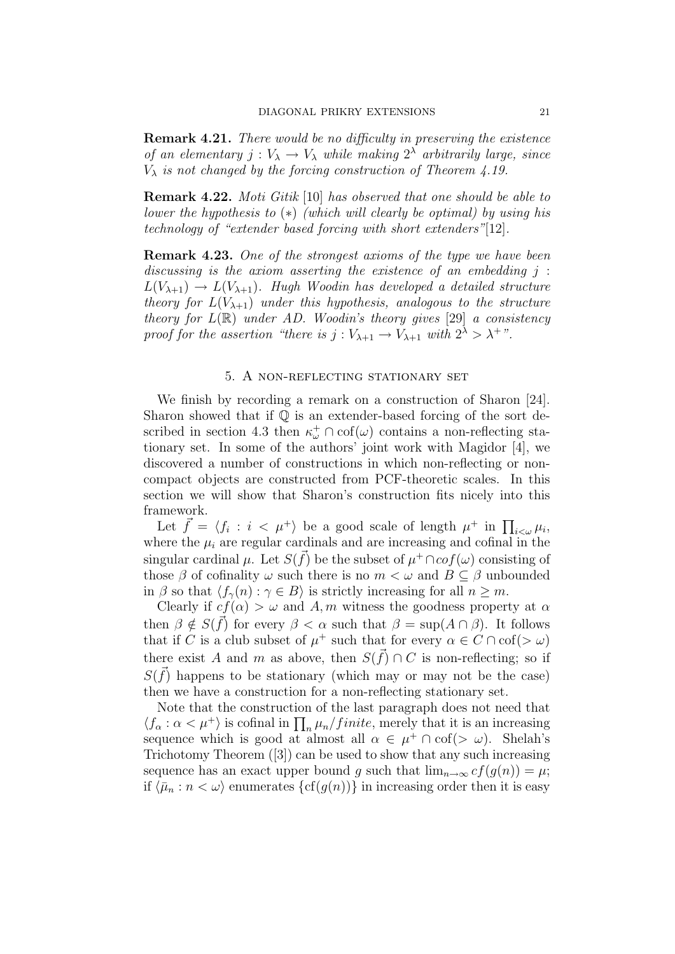**Remark 4.21.** There would be no difficulty in preserving the existence of an elementary  $j: V_{\lambda} \to V_{\lambda}$  while making  $2^{\lambda}$  arbitrarily large, since  $V_{\lambda}$  is not changed by the forcing construction of Theorem 4.19.

**Remark 4.22.** Moti Gitik [10] has observed that one should be able to lower the hypothesis to  $(*)$  (which will clearly be optimal) by using his technology of "extender based forcing with short extenders"[12].

**Remark 4.23.** One of the strongest axioms of the type we have been discussing is the axiom asserting the existence of an embedding  $j$ :  $L(V_{\lambda+1}) \rightarrow L(V_{\lambda+1})$ . Hugh Woodin has developed a detailed structure theory for  $L(V_{\lambda+1})$  under this hypothesis, analogous to the structure theory for  $L(\mathbb{R})$  under AD. Woodin's theory gives [29] a consistency proof for the assertion "there is  $j: V_{\lambda+1} \to V_{\lambda+1}$  with  $2^{\lambda} > \lambda^{+}$ ".

#### 5. A non-reflecting stationary set

We finish by recording a remark on a construction of Sharon [24]. Sharon showed that if  $\mathbb Q$  is an extender-based forcing of the sort described in section 4.3 then  $\kappa_{\omega}^{+} \cap \text{cof}(\omega)$  contains a non-reflecting stationary set. In some of the authors' joint work with Magidor [4], we discovered a number of constructions in which non-reflecting or noncompact objects are constructed from PCF-theoretic scales. In this section we will show that Sharon's construction fits nicely into this framework.

Let  $\vec{f} = \langle f_i : i \langle \mu^+ \rangle$  be a good scale of length  $\mu^+$  in  $\prod_{i \leq \omega} \mu_i$ , where the  $\mu_i$  are regular cardinals and are increasing and cofinal in the singular cardinal  $\mu$ . Let  $S(\vec{f})$  be the subset of  $\mu^+ \cap cof(\omega)$  consisting of those  $\beta$  of cofinality  $\omega$  such there is no  $m < \omega$  and  $B \subseteq \beta$  unbounded in  $\beta$  so that  $\langle f_\gamma(n) : \gamma \in B \rangle$  is strictly increasing for all  $n \geq m$ .

Clearly if  $cf(\alpha) > \omega$  and A, m witness the goodness property at  $\alpha$ then  $\beta \notin S(\vec{f})$  for every  $\beta < \alpha$  such that  $\beta = \sup(A \cap \beta)$ . It follows that if C is a club subset of  $\mu^+$  such that for every  $\alpha \in C \cap \text{cof}(>\omega)$ there exist A and m as above, then  $S(\vec{f}) \cap C$  is non-reflecting; so if  $S(\vec{f})$  happens to be stationary (which may or may not be the case) then we have a construction for a non-reflecting stationary set.

Note that the construction of the last paragraph does not need that  $\langle f_\alpha : \alpha < \mu^+ \rangle$  is cofinal in  $\prod_n \mu_n / finite$ , merely that it is an increasing sequence which is good at almost all  $\alpha \in \mu^+ \cap cof(\geq \omega)$ . Shelah's Trichotomy Theorem ([3]) can be used to show that any such increasing sequence has an exact upper bound g such that  $\lim_{n\to\infty} cf(g(n)) = \mu;$ if  $\langle \bar{\mu}_n : n < \omega \rangle$  enumerates  $\{cf(g(n))\}$  in increasing order then it is easy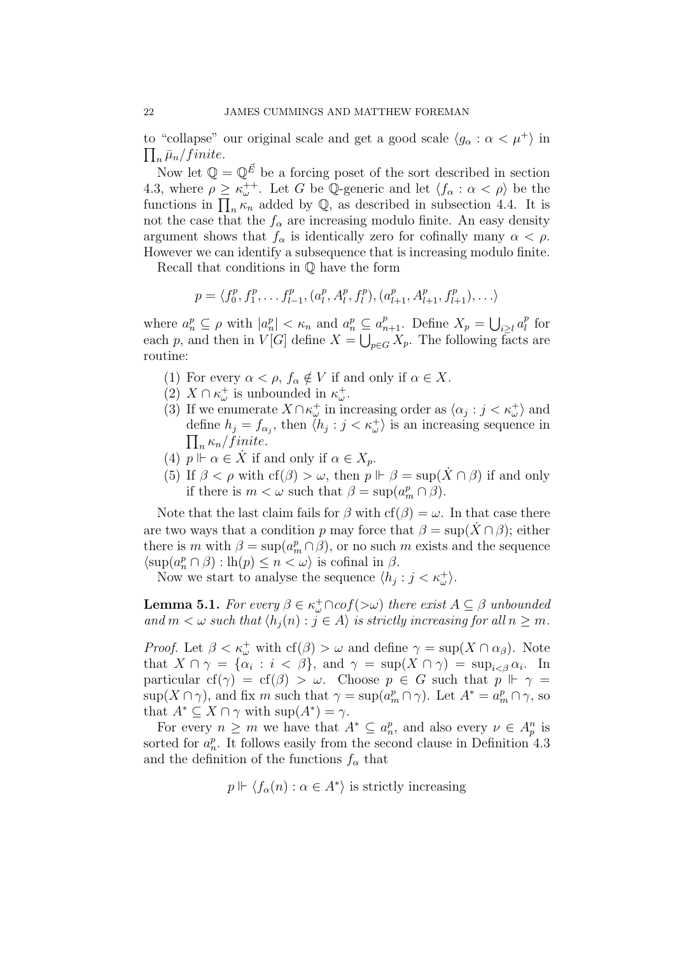to "collapse" our original scale and get a good scale  $\langle g_{\alpha} : \alpha < \mu^+ \rangle$  in  $\prod_n\bar{\mu}_n/finite.$ 

Now let  $\mathbb{Q} = \mathbb{Q}^{\vec{E}}$  be a forcing poset of the sort described in section 4.3, where  $\rho \geq \kappa_{\omega}^{++}$ . Let G be Q-generic and let  $\langle f_{\alpha} : \alpha < \rho \rangle$  be the functions in  $\prod_n \kappa_n$  added by  $\mathbb{Q}$ , as described in subsection 4.4. It is not the case that the  $f_{\alpha}$  are increasing modulo finite. An easy density argument shows that  $f_{\alpha}$  is identically zero for cofinally many  $\alpha < \rho$ . However we can identify a subsequence that is increasing modulo finite.

Recall that conditions in Q have the form

$$
p = \langle f_0^p, f_1^p, \dots, f_{l-1}^p, (a_l^p, A_l^p, f_l^p), (a_{l+1}^p, A_{l+1}^p, f_{l+1}^p), \dots \rangle
$$

where  $a_n^p \subseteq \rho$  with  $|a_n^p| < \kappa_n$  and  $a_n^p \subseteq a_{n+1}^p$ . Define  $X_p = \bigcup_{i \geq l} a_l^p$  $\frac{p}{l}$  for each p, and then in  $V[G]$  define  $X = \bigcup_{p \in G} X_p$ . The following facts are routine:

- (1) For every  $\alpha < \rho$ ,  $f_{\alpha} \notin V$  if and only if  $\alpha \in X$ .
- (2)  $X \cap \kappa_{\omega}^{+}$  is unbounded in  $\kappa_{\omega}^{+}$ .
- (3) If we enumerate  $X \cap \kappa_{\omega}^{+}$  in increasing order as  $\langle \alpha_j : j < \kappa_{\omega}^{+} \rangle$  and define  $h_j = f_{\alpha_j}$ , then  $\langle h_j : j \times \kappa_{\omega}^+ \rangle$  is an increasing sequence in  $\prod_n \kappa_n / finite$ .  $\kappa_n$  / finite.
- (4)  $p \Vdash \alpha \in \dot{X}$  if and only if  $\alpha \in X_p$ .
- (5) If  $\beta < \rho$  with  $cf(\beta) > \omega$ , then  $p \Vdash \beta = \sup(\dot{X} \cap \beta)$  if and only if there is  $m < \omega$  such that  $\beta = \sup(a_m^p \cap \beta)$ .

Note that the last claim fails for  $\beta$  with  $cf(\beta) = \omega$ . In that case there are two ways that a condition p may force that  $\beta = \sup(X \cap \beta)$ ; either there is m with  $\beta = \sup(a_m^p \cap \beta)$ , or no such m exists and the sequence  $\langle \sup(a_n^p \cap \beta) : \text{lh}(p) \leq n < \omega \rangle$  is cofinal in  $\beta$ .

Now we start to analyse the sequence  $\langle h_j : j < \kappa_{\omega}^+ \rangle$ .

**Lemma 5.1.** For every  $\beta \in \kappa_{\omega}^+ \cap cof(\gt \omega)$  there exist  $A \subseteq \beta$  unbounded and  $m < \omega$  such that  $\langle h_j(n) : j \in A \rangle$  is strictly increasing for all  $n \geq m$ .

*Proof.* Let  $\beta < \kappa_{\omega}^+$  with  $cf(\beta) > \omega$  and define  $\gamma = \sup(X \cap \alpha_{\beta})$ . Note that  $X \cap \gamma = {\alpha_i : i < \beta}, \text{ and } \gamma = \sup(X \cap \gamma) = \sup_{i < \beta} \alpha_i$ . In particular cf( $\gamma$ ) = cf( $\beta$ ) > ω. Choose  $p \in G$  such that  $p \Vdash \gamma$  =  $\sup(X \cap \gamma)$ , and fix m such that  $\gamma = \sup(a_m^p \cap \gamma)$ . Let  $A^* = a_m^p \cap \gamma$ , so that  $A^* \subseteq X \cap \gamma$  with  $\sup(A^*) = \gamma$ .

For every  $n \geq m$  we have that  $A^* \subseteq a_n^p$ , and also every  $\nu \in A_p^n$  is sorted for  $a_n^p$ . It follows easily from the second clause in Definition 4.3 and the definition of the functions  $f_{\alpha}$  that

$$
p \Vdash \langle f_{\alpha}(n) : \alpha \in A^* \rangle
$$
 is strictly increasing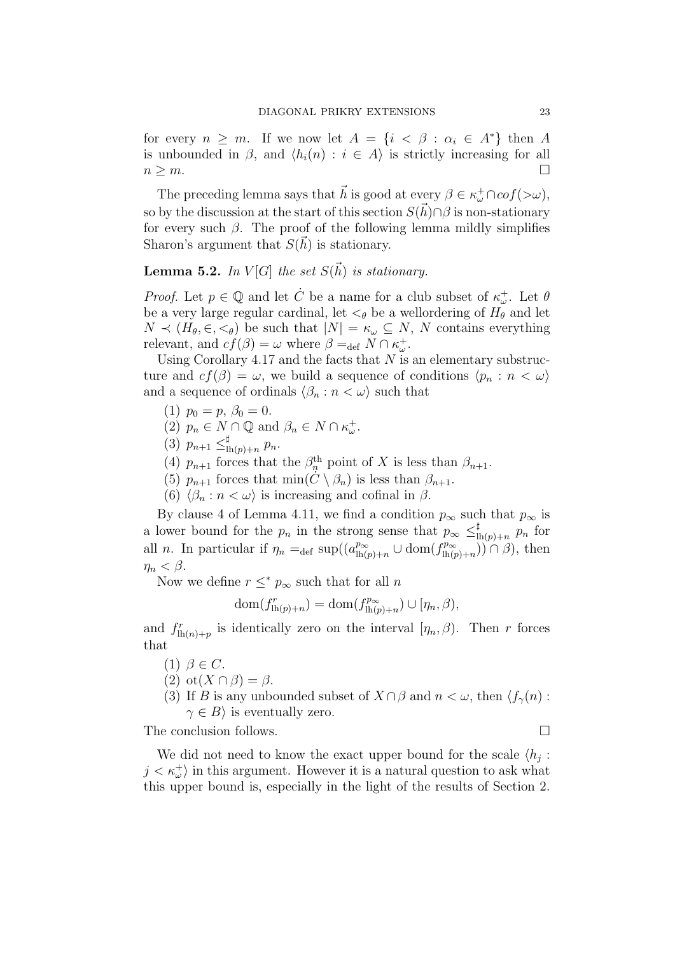for every  $n \geq m$ . If we now let  $A = \{i \leq \beta : \alpha_i \in A^*\}$  then A is unbounded in  $\beta$ , and  $\langle h_i(n) : i \in A \rangle$  is strictly increasing for all  $n \geq m$ .

The preceding lemma says that  $\vec{h}$  is good at every  $\beta \in \kappa_{\omega}^{+} \cap cof(\gt \omega)$ , so by the discussion at the start of this section  $S(\vec{h}) \cap \beta$  is non-stationary for every such  $\beta$ . The proof of the following lemma mildly simplifies Sharon's argument that  $S(\vec{h})$  is stationary.

**Lemma 5.2.** In  $V[G]$  the set  $S(\vec{h})$  is stationary.

*Proof.* Let  $p \in \mathbb{Q}$  and let  $\dot{C}$  be a name for a club subset of  $\kappa^{\pm}_{\omega}$ . Let  $\theta$ be a very large regular cardinal, let  $\lt_\theta$  be a wellordering of  $H_\theta$  and let  $N \prec (H_\theta, \in, \leq_\theta)$  be such that  $|N| = \kappa_\omega \subseteq N$ , N contains everything relevant, and  $cf(\beta) = \omega$  where  $\beta =_{\text{def}} N \cap \kappa_{\omega}^+$ .

Using Corollary 4.17 and the facts that  $N$  is an elementary substructure and  $cf(\beta) = \omega$ , we build a sequence of conditions  $\langle p_n : n \langle \omega \rangle$ and a sequence of ordinals  $\langle \beta_n : n < \omega \rangle$  such that

- (1)  $p_0 = p, \beta_0 = 0.$
- (2)  $p_n \in N \cap \mathbb{Q}$  and  $\beta_n \in N \cap \kappa_\omega^+$ .
- $(3)$   $p_{n+1} \leq_1^{\sharp}$  $lim_{(p)\text{+}n} p_n.$
- (4)  $p_{n+1}$  forces that the  $\beta_n^{\text{th}}$  point of X is less than  $\beta_{n+1}$ .
- (5)  $p_{n+1}$  forces that min( $C \setminus \beta_n$ ) is less than  $\beta_{n+1}$ .
- (6)  $\langle \beta_n : n < \omega \rangle$  is increasing and cofinal in  $\beta$ .

By clause 4 of Lemma 4.11, we find a condition  $p_{\infty}$  such that  $p_{\infty}$  is a lower bound for the  $p_n$  in the strong sense that  $p_{\infty} \leq \frac{1}{2}$  $\lim_{\hbox{lh}(p)+n} p_n$  for all *n*. In particular if  $\eta_n =_{\text{def}} \sup((a_{\ln(p)+n}^{p_\infty} \cup \text{dom}(f_{\ln(p)}^{p_\infty}))$  $\lim_{\mathrm{lh}(p)+n}$ )  $\cap$   $\beta$ ), then  $\eta_n < \beta$ .

Now we define  $r \leq^* p_\infty$  such that for all n

$$
\text{dom}(f_{\text{lh}(p)+n}^r) = \text{dom}(f_{\text{lh}(p)+n}^{p_{\infty}}) \cup [\eta_n, \beta),
$$

and  $f_{\mathrm{lh}(n)+p}^r$  is identically zero on the interval  $[\eta_n, \beta)$ . Then r forces that

- (1)  $\beta \in C$ .
- (2) ot( $X \cap \beta$ ) =  $\beta$ .
- (3) If B is any unbounded subset of  $X \cap \beta$  and  $n < \omega$ , then  $\langle f_\gamma(n) :$  $\gamma \in B$  is eventually zero.

The conclusion follows.

We did not need to know the exact upper bound for the scale  $\langle h_j :$  $j < \kappa_{\omega}^{+}$  in this argument. However it is a natural question to ask what this upper bound is, especially in the light of the results of Section 2.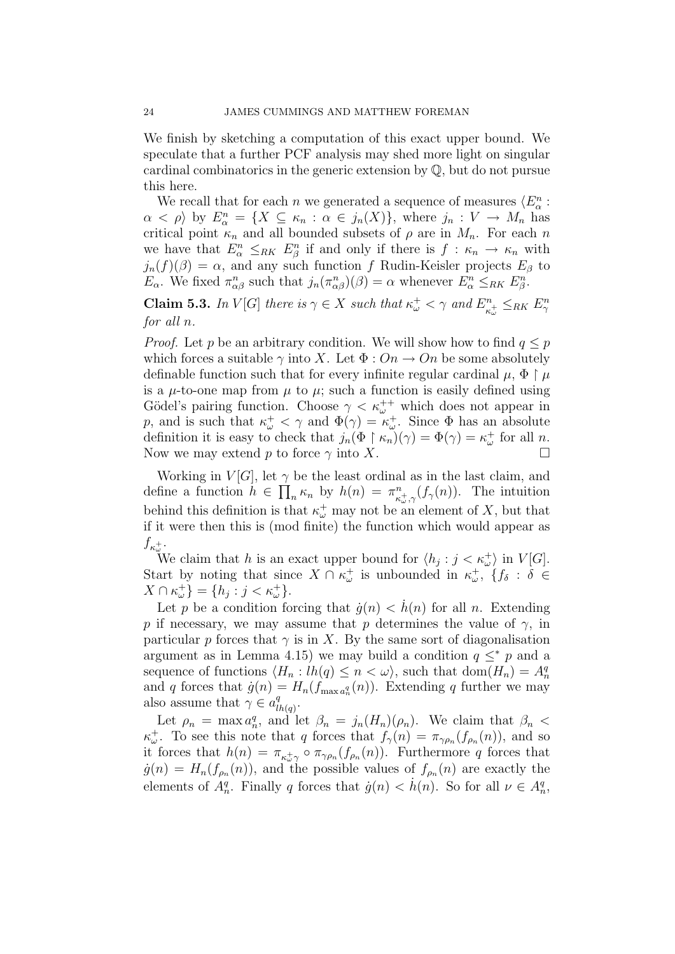We finish by sketching a computation of this exact upper bound. We speculate that a further PCF analysis may shed more light on singular cardinal combinatorics in the generic extension by Q, but do not pursue this here.

We recall that for each n we generated a sequence of measures  $\langle E_{\alpha}^n :$  $\alpha < \rho$  by  $E_{\alpha}^n = \{ X \subseteq \kappa_n : \alpha \in j_n(X) \}$ , where  $j_n : V \to M_n$  has critical point  $\kappa_n$  and all bounded subsets of  $\rho$  are in  $M_n$ . For each n we have that  $E_{\alpha}^n \leq_{RK} E_{\beta}^n$  if and only if there is  $f : \kappa_n \to \kappa_n$  with  $j_n(f)(\beta) = \alpha$ , and any such function f Rudin-Keisler projects  $E_\beta$  to  $E_{\alpha}$ . We fixed  $\pi_{\alpha\beta}^n$  such that  $j_n(\pi_{\alpha\beta}^n)(\beta) = \alpha$  whenever  $E_{\alpha}^n \leq_{RK} E_{\beta}^n$ .

**Claim 5.3.** In V[G] there is  $\gamma \in X$  such that  $\kappa^+_{\omega} < \gamma$  and  $E^n_{\kappa}$  $\zeta_{\kappa_{\omega}^{+}}^{n} \leq_{RK} E_{\gamma}^{n}$ for all n.

*Proof.* Let p be an arbitrary condition. We will show how to find  $q \leq p$ which forces a suitable  $\gamma$  into X. Let  $\Phi: On \to On$  be some absolutely definable function such that for every infinite regular cardinal  $\mu$ ,  $\Phi \upharpoonright \mu$ is a  $\mu$ -to-one map from  $\mu$  to  $\mu$ ; such a function is easily defined using Gödel's pairing function. Choose  $\gamma < \kappa_{\omega}^{++}$  which does not appear in p, and is such that  $\kappa^+_{\omega} < \gamma$  and  $\Phi(\gamma) = \kappa^+_{\omega}$ . Since  $\Phi$  has an absolute definition it is easy to check that  $j_n(\Phi \upharpoonright \kappa_n)(\gamma) = \Phi(\gamma) = \kappa_\omega^+$  for all n. Now we may extend p to force  $\gamma$  into X.

Working in  $V[G]$ , let  $\gamma$  be the least ordinal as in the last claim, and define a function  $h \in \prod_n \kappa_n$  by  $h(n) = \pi_{\kappa}^n$  $\int_{\kappa_{\omega,\gamma}}^{\infty} (f_{\gamma}(n))$ . The intuition behind this definition is that  $\kappa^{\pm}_{\omega}$  may not be an element of X, but that if it were then this is (mod finite) the function which would appear as  $f_{\kappa^+_{\omega}}$ .

We claim that h is an exact upper bound for  $\langle h_j : j < \kappa_{\omega}^+ \rangle$  in  $V[G]$ . Start by noting that since  $X \cap \kappa_{\omega}^+$  is unbounded in  $\kappa_{\omega}^+$ ,  $\{f_{\delta} : \delta \in$  $X \cap \kappa_{\omega}^{+} = \{h_j : j < \kappa_{\omega}^{+}\}.$ 

Let p be a condition forcing that  $\dot{g}(n) < h(n)$  for all n. Extending p if necessary, we may assume that p determines the value of  $\gamma$ , in particular p forces that  $\gamma$  is in X. By the same sort of diagonalisation argument as in Lemma 4.15) we may build a condition  $q \leq^* p$  and a sequence of functions  $\langle H_n : lh(q) \leq n \langle \omega \rangle$ , such that  $dom(H_n) = A_n^q$ and q forces that  $\dot{g}(n) = H_n(f_{\text{max }a_n^q}(n))$ . Extending q further we may also assume that  $\gamma \in a_l^q$  $\frac{q}{lh(q)}.$ 

Let  $\rho_n = \max a_n^q$ , and let  $\beta_n = j_n(H_n)(\rho_n)$ . We claim that  $\beta_n <$  $\kappa_{\omega}^+$ . To see this note that q forces that  $f_{\gamma}(n) = \pi_{\gamma \rho_n}(f_{\rho_n}(n))$ , and so it forces that  $h(n) = \pi_{\kappa \to \gamma} \circ \pi_{\gamma \rho_n}(f_{\rho_n}(n))$ . Furthermore q forces that  $\dot{g}(n) = H_n(f_{\rho_n}(n))$ , and the possible values of  $f_{\rho_n}(n)$  are exactly the elements of  $A_n^q$ . Finally q forces that  $\dot{g}(n) < \dot{h}(n)$ . So for all  $\nu \in A_n^q$ ,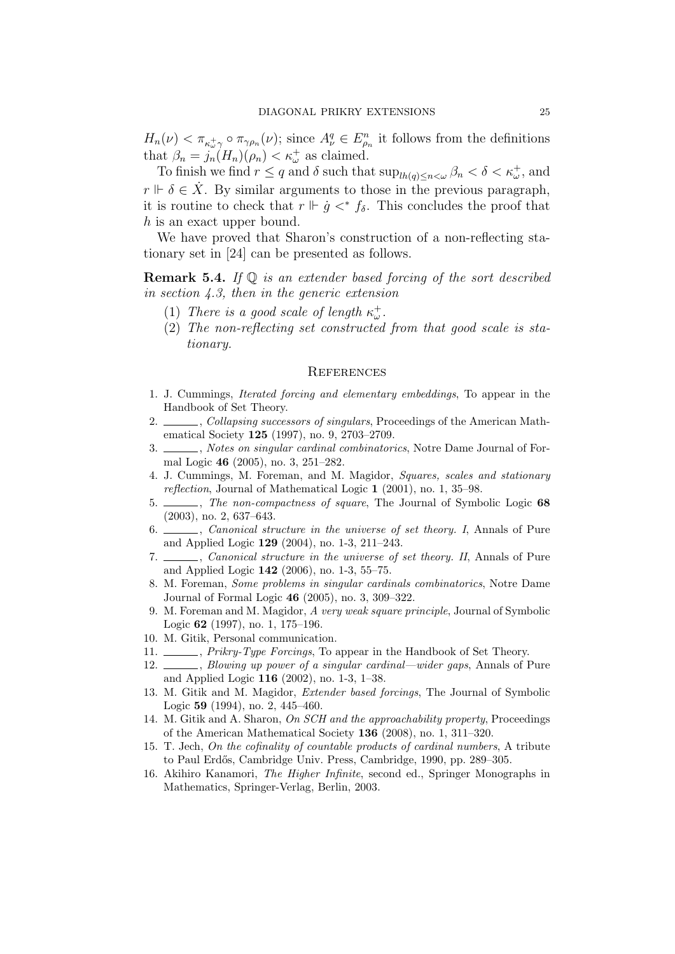$H_n(\nu) < \pi_{\kappa^+_{\omega} \gamma} \circ \pi_{\gamma \rho_n}(\nu)$ ; since  $A_{\nu}^q \in E_{\rho_n}^n$  it follows from the definitions that  $\beta_n = j_n(H_n)(\rho_n) < \kappa_{\omega}^+$  as claimed.

To finish we find  $r \leq q$  and  $\delta$  such that  $\sup_{lh(q)\leq n\lt \omega} \beta_n < \delta < \kappa_\omega^+$ , and  $r \Vdash \delta \in \dot{X}$ . By similar arguments to those in the previous paragraph, it is routine to check that  $r \Vdash \dot{g} \lt^* f_\delta$ . This concludes the proof that h is an exact upper bound.

We have proved that Sharon's construction of a non-reflecting stationary set in [24] can be presented as follows.

**Remark 5.4.** If  $\mathbb Q$  is an extender based forcing of the sort described in section 4.3, then in the generic extension

- (1) There is a good scale of length  $\kappa^+_{\omega}$ .
- (2) The non-reflecting set constructed from that good scale is stationary.

#### **REFERENCES**

- 1. J. Cummings, Iterated forcing and elementary embeddings, To appear in the Handbook of Set Theory.
- 2. Separate 2. Collapsing successors of singulars, Proceedings of the American Mathematical Society 125 (1997), no. 9, 2703–2709.
- 3. Solution St. 2015, Notes on singular cardinal combinatorics, Notre Dame Journal of Formal Logic 46 (2005), no. 3, 251–282.
- 4. J. Cummings, M. Foreman, and M. Magidor, Squares, scales and stationary reflection, Journal of Mathematical Logic 1 (2001), no. 1, 35–98.
- 5. The non-compactness of square, The Journal of Symbolic Logic 68 (2003), no. 2, 637–643.
- 6. \_\_\_\_, *Canonical structure in the universe of set theory.* I, Annals of Pure and Applied Logic 129 (2004), no. 1-3, 211–243.
- 7. Canonical structure in the universe of set theory. II, Annals of Pure and Applied Logic 142 (2006), no. 1-3, 55–75.
- 8. M. Foreman, Some problems in singular cardinals combinatorics, Notre Dame Journal of Formal Logic 46 (2005), no. 3, 309–322.
- 9. M. Foreman and M. Magidor, A very weak square principle, Journal of Symbolic Logic 62 (1997), no. 1, 175–196.
- 10. M. Gitik, Personal communication.
- 11.  $\frac{1}{1}$ , *Prikry-Type Forcings*, To appear in the Handbook of Set Theory.
- 12. Slowing up power of a singular cardinal—wider gaps, Annals of Pure and Applied Logic 116 (2002), no. 1-3, 1–38.
- 13. M. Gitik and M. Magidor, Extender based forcings, The Journal of Symbolic Logic 59 (1994), no. 2, 445–460.
- 14. M. Gitik and A. Sharon, On SCH and the approachability property, Proceedings of the American Mathematical Society 136 (2008), no. 1, 311–320.
- 15. T. Jech, On the cofinality of countable products of cardinal numbers, A tribute to Paul Erdős, Cambridge Univ. Press, Cambridge, 1990, pp. 289–305.
- 16. Akihiro Kanamori, The Higher Infinite, second ed., Springer Monographs in Mathematics, Springer-Verlag, Berlin, 2003.